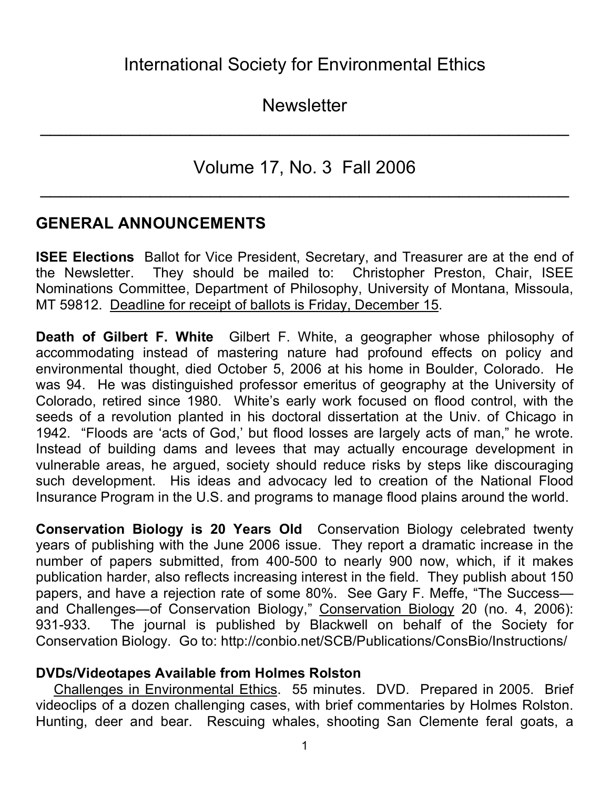**Newsletter** 

 $\mathcal{L}_\text{max}$  and  $\mathcal{L}_\text{max}$  and  $\mathcal{L}_\text{max}$  and  $\mathcal{L}_\text{max}$  and  $\mathcal{L}_\text{max}$  and  $\mathcal{L}_\text{max}$ 

Volume 17, No. 3 Fall 2006

 $\mathcal{L}_\text{max}$  and  $\mathcal{L}_\text{max}$  and  $\mathcal{L}_\text{max}$  and  $\mathcal{L}_\text{max}$  and  $\mathcal{L}_\text{max}$  and  $\mathcal{L}_\text{max}$ 

## **GENERAL ANNOUNCEMENTS**

**ISEE Elections** Ballot for Vice President, Secretary, and Treasurer are at the end of the Newsletter. They should be mailed to: Christopher Preston, Chair, ISEE Nominations Committee, Department of Philosophy, University of Montana, Missoula, MT 59812. Deadline for receipt of ballots is Friday, December 15.

**Death of Gilbert F. White** Gilbert F. White, a geographer whose philosophy of accommodating instead of mastering nature had profound effects on policy and environmental thought, died October 5, 2006 at his home in Boulder, Colorado. He was 94. He was distinguished professor emeritus of geography at the University of Colorado, retired since 1980. White's early work focused on flood control, with the seeds of a revolution planted in his doctoral dissertation at the Univ. of Chicago in 1942. "Floods are 'acts of God,' but flood losses are largely acts of man," he wrote. Instead of building dams and levees that may actually encourage development in vulnerable areas, he argued, society should reduce risks by steps like discouraging such development. His ideas and advocacy led to creation of the National Flood Insurance Program in the U.S. and programs to manage flood plains around the world.

**Conservation Biology is 20 Years Old** Conservation Biology celebrated twenty years of publishing with the June 2006 issue. They report a dramatic increase in the number of papers submitted, from 400-500 to nearly 900 now, which, if it makes publication harder, also reflects increasing interest in the field. They publish about 150 papers, and have a rejection rate of some 80%. See Gary F. Meffe, "The Success and Challenges—of Conservation Biology," Conservation Biology 20 (no. 4, 2006): 931-933. The journal is published by Blackwell on behalf of the Society for Conservation Biology. Go to: http://conbio.net/SCB/Publications/ConsBio/Instructions/

#### **DVDs/Videotapes Available from Holmes Rolston**

Challenges in Environmental Ethics. 55 minutes. DVD. Prepared in 2005. Brief videoclips of a dozen challenging cases, with brief commentaries by Holmes Rolston. Hunting, deer and bear. Rescuing whales, shooting San Clemente feral goats, a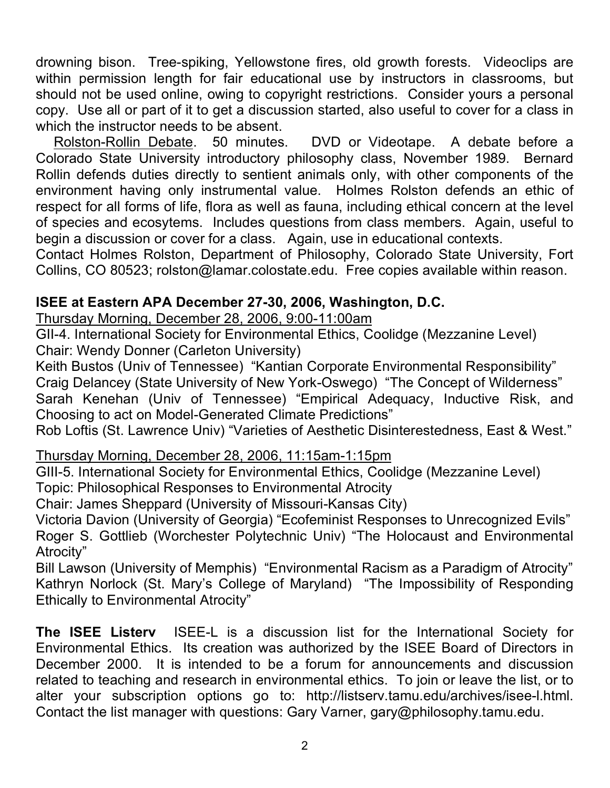drowning bison. Tree-spiking, Yellowstone fires, old growth forests. Videoclips are within permission length for fair educational use by instructors in classrooms, but should not be used online, owing to copyright restrictions. Consider yours a personal copy. Use all or part of it to get a discussion started, also useful to cover for a class in which the instructor needs to be absent.

Rolston-Rollin Debate. 50 minutes. DVD or Videotape. A debate before a Colorado State University introductory philosophy class, November 1989. Bernard Rollin defends duties directly to sentient animals only, with other components of the environment having only instrumental value. Holmes Rolston defends an ethic of respect for all forms of life, flora as well as fauna, including ethical concern at the level of species and ecosytems. Includes questions from class members. Again, useful to begin a discussion or cover for a class. Again, use in educational contexts.

Contact Holmes Rolston, Department of Philosophy, Colorado State University, Fort Collins, CO 80523; rolston@lamar.colostate.edu. Free copies available within reason.

#### **ISEE at Eastern APA December 27-30, 2006, Washington, D.C.**

Thursday Morning, December 28, 2006, 9:00-11:00am

GII-4. International Society for Environmental Ethics, Coolidge (Mezzanine Level) Chair: Wendy Donner (Carleton University)

Keith Bustos (Univ of Tennessee) "Kantian Corporate Environmental Responsibility" Craig Delancey (State University of New York-Oswego) "The Concept of Wilderness" Sarah Kenehan (Univ of Tennessee) "Empirical Adequacy, Inductive Risk, and Choosing to act on Model-Generated Climate Predictions"

Rob Loftis (St. Lawrence Univ) "Varieties of Aesthetic Disinterestedness, East & West."

#### Thursday Morning, December 28, 2006, 11:15am-1:15pm

GIII-5. International Society for Environmental Ethics, Coolidge (Mezzanine Level) Topic: Philosophical Responses to Environmental Atrocity

Chair: James Sheppard (University of Missouri-Kansas City)

Victoria Davion (University of Georgia) "Ecofeminist Responses to Unrecognized Evils" Roger S. Gottlieb (Worchester Polytechnic Univ) "The Holocaust and Environmental Atrocity"

Bill Lawson (University of Memphis) "Environmental Racism as a Paradigm of Atrocity" Kathryn Norlock (St. Mary's College of Maryland) "The Impossibility of Responding Ethically to Environmental Atrocity"

**The ISEE Listerv** ISEE-L is a discussion list for the International Society for Environmental Ethics. Its creation was authorized by the ISEE Board of Directors in December 2000. It is intended to be a forum for announcements and discussion related to teaching and research in environmental ethics. To join or leave the list, or to alter your subscription options go to: http://listserv.tamu.edu/archives/isee-l.html. Contact the list manager with questions: Gary Varner, gary@philosophy.tamu.edu.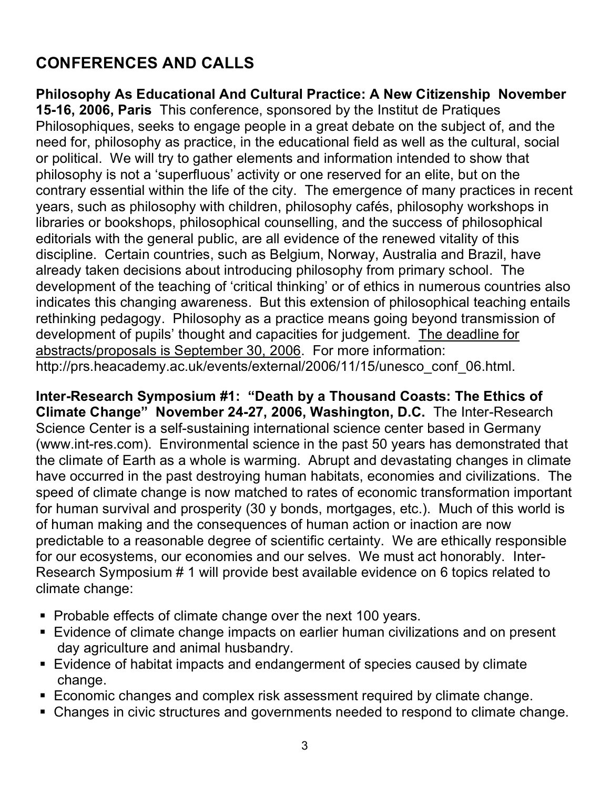# **CONFERENCES AND CALLS**

**Philosophy As Educational And Cultural Practice: A New Citizenship November 15-16, 2006, Paris** This conference, sponsored by the Institut de Pratiques Philosophiques, seeks to engage people in a great debate on the subject of, and the need for, philosophy as practice, in the educational field as well as the cultural, social or political. We will try to gather elements and information intended to show that philosophy is not a 'superfluous' activity or one reserved for an elite, but on the contrary essential within the life of the city. The emergence of many practices in recent years, such as philosophy with children, philosophy cafés, philosophy workshops in libraries or bookshops, philosophical counselling, and the success of philosophical editorials with the general public, are all evidence of the renewed vitality of this discipline. Certain countries, such as Belgium, Norway, Australia and Brazil, have already taken decisions about introducing philosophy from primary school. The development of the teaching of 'critical thinking' or of ethics in numerous countries also indicates this changing awareness. But this extension of philosophical teaching entails rethinking pedagogy. Philosophy as a practice means going beyond transmission of development of pupils' thought and capacities for judgement. The deadline for abstracts/proposals is September 30, 2006. For more information: http://prs.heacademy.ac.uk/events/external/2006/11/15/unesco\_conf\_06.html.

**Inter-Research Symposium #1: "Death by a Thousand Coasts: The Ethics of Climate Change" November 24-27, 2006, Washington, D.C.** The Inter-Research Science Center is a self-sustaining international science center based in Germany (www.int-res.com). Environmental science in the past 50 years has demonstrated that the climate of Earth as a whole is warming. Abrupt and devastating changes in climate have occurred in the past destroying human habitats, economies and civilizations. The speed of climate change is now matched to rates of economic transformation important for human survival and prosperity (30 y bonds, mortgages, etc.). Much of this world is of human making and the consequences of human action or inaction are now predictable to a reasonable degree of scientific certainty. We are ethically responsible for our ecosystems, our economies and our selves. We must act honorably. Inter-Research Symposium # 1 will provide best available evidence on 6 topics related to climate change:

- Probable effects of climate change over the next 100 years.
- **Evidence of climate change impacts on earlier human civilizations and on present** day agriculture and animal husbandry.
- Evidence of habitat impacts and endangerment of species caused by climate change.
- Economic changes and complex risk assessment required by climate change.
- Changes in civic structures and governments needed to respond to climate change.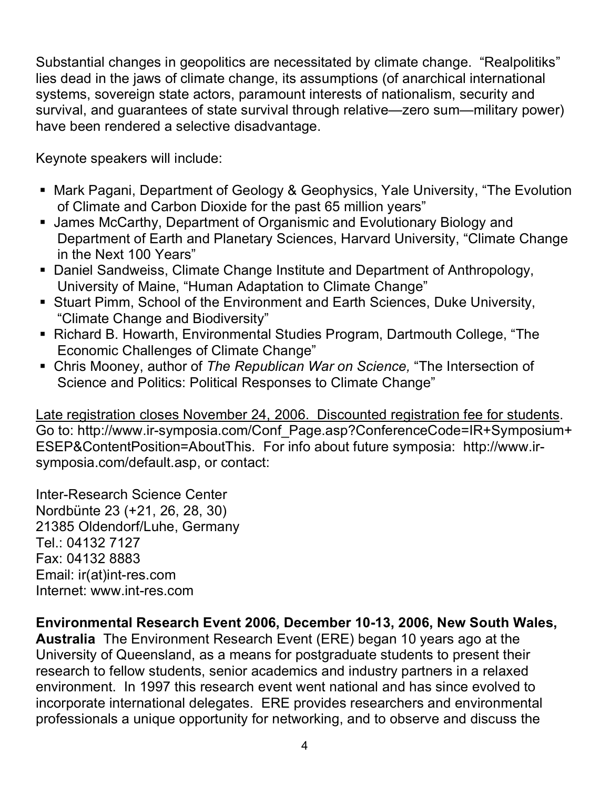Substantial changes in geopolitics are necessitated by climate change. "Realpolitiks" lies dead in the jaws of climate change, its assumptions (of anarchical international systems, sovereign state actors, paramount interests of nationalism, security and survival, and guarantees of state survival through relative—zero sum—military power) have been rendered a selective disadvantage.

Keynote speakers will include:

- Mark Pagani, Department of Geology & Geophysics, Yale University, "The Evolution of Climate and Carbon Dioxide for the past 65 million years"
- James McCarthy, Department of Organismic and Evolutionary Biology and Department of Earth and Planetary Sciences, Harvard University, "Climate Change in the Next 100 Years"
- Daniel Sandweiss, Climate Change Institute and Department of Anthropology, University of Maine, "Human Adaptation to Climate Change"
- Stuart Pimm, School of the Environment and Earth Sciences, Duke University, "Climate Change and Biodiversity"
- Richard B. Howarth, Environmental Studies Program, Dartmouth College, "The Economic Challenges of Climate Change"
- Chris Mooney, author of *The Republican War on Science,* "The Intersection of Science and Politics: Political Responses to Climate Change"

Late registration closes November 24, 2006. Discounted registration fee for students. Go to: http://www.ir-symposia.com/Conf\_Page.asp?ConferenceCode=IR+Symposium+ ESEP&ContentPosition=AboutThis. For info about future symposia: http://www.irsymposia.com/default.asp, or contact:

Inter-Research Science Center Nordbünte 23 (+21, 26, 28, 30) 21385 Oldendorf/Luhe, Germany Tel.: 04132 7127 Fax: 04132 8883 Email: ir(at)int-res.com Internet: www.int-res.com

#### **Environmental Research Event 2006, December 10-13, 2006, New South Wales,**

**Australia** The Environment Research Event (ERE) began 10 years ago at the University of Queensland, as a means for postgraduate students to present their research to fellow students, senior academics and industry partners in a relaxed environment. In 1997 this research event went national and has since evolved to incorporate international delegates. ERE provides researchers and environmental professionals a unique opportunity for networking, and to observe and discuss the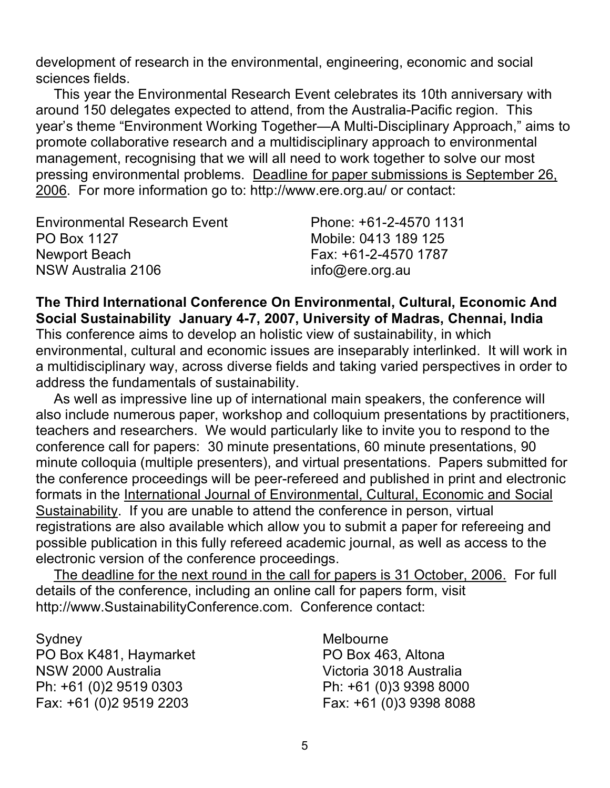development of research in the environmental, engineering, economic and social sciences fields.

This year the Environmental Research Event celebrates its 10th anniversary with around 150 delegates expected to attend, from the Australia-Pacific region. This year's theme "Environment Working Together—A Multi-Disciplinary Approach," aims to promote collaborative research and a multidisciplinary approach to environmental management, recognising that we will all need to work together to solve our most pressing environmental problems. Deadline for paper submissions is September 26, 2006. For more information go to: http://www.ere.org.au/ or contact:

| <b>Environmental Research Event</b> | Phone: +61-2-4570 1131 |
|-------------------------------------|------------------------|
| PO Box 1127                         | Mobile: 0413 189 125   |
| Newport Beach                       | Fax: +61-2-4570 1787   |
| NSW Australia 2106                  | info@ere.org.au        |

**The Third International Conference On Environmental, Cultural, Economic And Social Sustainability January 4-7, 2007, University of Madras, Chennai, India** This conference aims to develop an holistic view of sustainability, in which environmental, cultural and economic issues are inseparably interlinked. It will work in a multidisciplinary way, across diverse fields and taking varied perspectives in order to address the fundamentals of sustainability.

As well as impressive line up of international main speakers, the conference will also include numerous paper, workshop and colloquium presentations by practitioners, teachers and researchers. We would particularly like to invite you to respond to the conference call for papers: 30 minute presentations, 60 minute presentations, 90 minute colloquia (multiple presenters), and virtual presentations. Papers submitted for the conference proceedings will be peer-refereed and published in print and electronic formats in the International Journal of Environmental, Cultural, Economic and Social Sustainability. If you are unable to attend the conference in person, virtual registrations are also available which allow you to submit a paper for refereeing and possible publication in this fully refereed academic journal, as well as access to the electronic version of the conference proceedings.

The deadline for the next round in the call for papers is 31 October, 2006. For full details of the conference, including an online call for papers form, visit http://www.SustainabilityConference.com. Conference contact:

Sydney Melbourne PO Box K481, Haymarket PO Box 463, Altona NSW 2000 Australia Victoria 3018 Australia Ph: +61 (0)2 9519 0303 Ph: +61 (0)3 9398 8000 Fax: +61 (0)2 9519 2203 Fax: +61 (0)3 9398 8088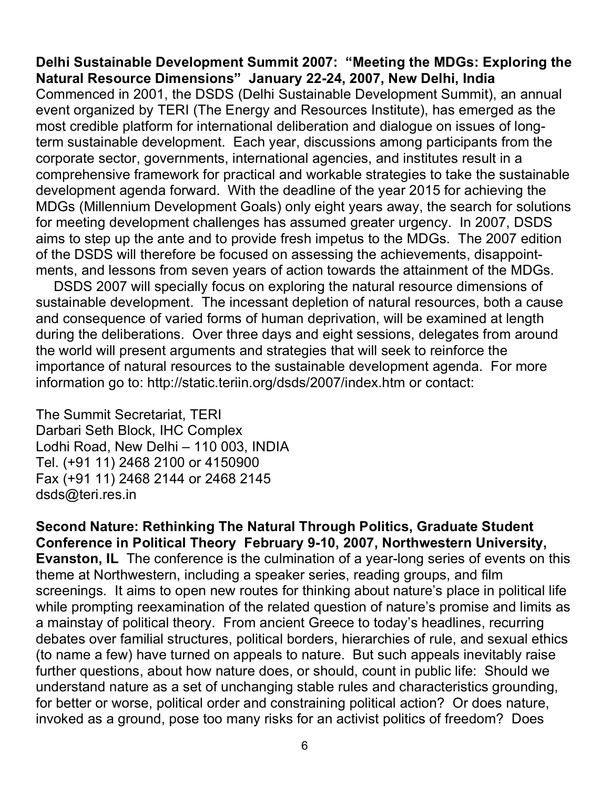**Delhi Sustainable Development Summit 2007: "Meeting the MDGs: Exploring the Natural Resource Dimensions" January 22-24, 2007, New Delhi, India** Commenced in 2001, the DSDS (Delhi Sustainable Development Summit), an annual event organized by TERI (The Energy and Resources Institute), has emerged as the most credible platform for international deliberation and dialogue on issues of longterm sustainable development. Each year, discussions among participants from the corporate sector, governments, international agencies, and institutes result in a comprehensive framework for practical and workable strategies to take the sustainable development agenda forward. With the deadline of the year 2015 for achieving the MDGs (Millennium Development Goals) only eight years away, the search for solutions for meeting development challenges has assumed greater urgency. In 2007, DSDS aims to step up the ante and to provide fresh impetus to the MDGs. The 2007 edition of the DSDS will therefore be focused on assessing the achievements, disappointments, and lessons from seven years of action towards the attainment of the MDGs.

DSDS 2007 will specially focus on exploring the natural resource dimensions of sustainable development. The incessant depletion of natural resources, both a cause and consequence of varied forms of human deprivation, will be examined at length during the deliberations. Over three days and eight sessions, delegates from around the world will present arguments and strategies that will seek to reinforce the importance of natural resources to the sustainable development agenda. For more information go to: http://static.teriin.org/dsds/2007/index.htm or contact:

The Summit Secretariat, TERI Darbari Seth Block, IHC Complex Lodhi Road, New Delhi – 110 003, INDIA Tel. (+91 11) 2468 2100 or 4150900 Fax (+91 11) 2468 2144 or 2468 2145 dsds@teri.res.in

**Second Nature: Rethinking The Natural Through Politics, Graduate Student Conference in Political Theory February 9-10, 2007, Northwestern University, Evanston, IL** The conference is the culmination of a year-long series of events on this theme at Northwestern, including a speaker series, reading groups, and film screenings. It aims to open new routes for thinking about nature's place in political life while prompting reexamination of the related question of nature's promise and limits as a mainstay of political theory. From ancient Greece to today's headlines, recurring debates over familial structures, political borders, hierarchies of rule, and sexual ethics (to name a few) have turned on appeals to nature. But such appeals inevitably raise further questions, about how nature does, or should, count in public life: Should we understand nature as a set of unchanging stable rules and characteristics grounding, for better or worse, political order and constraining political action? Or does nature, invoked as a ground, pose too many risks for an activist politics of freedom? Does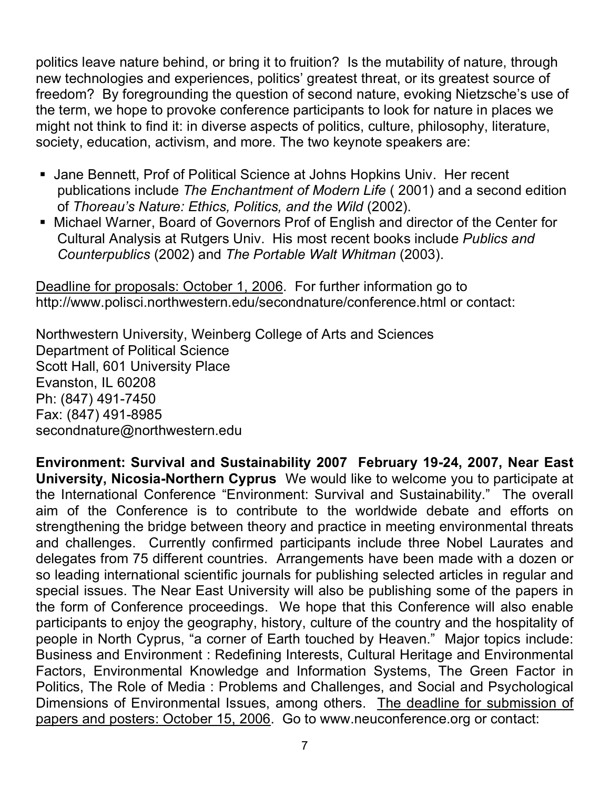politics leave nature behind, or bring it to fruition? Is the mutability of nature, through new technologies and experiences, politics' greatest threat, or its greatest source of freedom? By foregrounding the question of second nature, evoking Nietzsche's use of the term, we hope to provoke conference participants to look for nature in places we might not think to find it: in diverse aspects of politics, culture, philosophy, literature, society, education, activism, and more. The two keynote speakers are:

- Jane Bennett, Prof of Political Science at Johns Hopkins Univ. Her recent publications include *The Enchantment of Modern Life* ( 2001) and a second edition of *Thoreau's Nature: Ethics, Politics, and the Wild* (2002).
- Michael Warner, Board of Governors Prof of English and director of the Center for Cultural Analysis at Rutgers Univ. His most recent books include *Publics and Counterpublics* (2002) and *The Portable Walt Whitman* (2003).

Deadline for proposals: October 1, 2006. For further information go to http://www.polisci.northwestern.edu/secondnature/conference.html or contact:

Northwestern University, Weinberg College of Arts and Sciences Department of Political Science Scott Hall, 601 University Place Evanston, IL 60208 Ph: (847) 491-7450 Fax: (847) 491-8985 secondnature@northwestern.edu

**Environment: Survival and Sustainability 2007 February 19-24, 2007, Near East University, Nicosia-Northern Cyprus** We would like to welcome you to participate at the International Conference "Environment: Survival and Sustainability." The overall aim of the Conference is to contribute to the worldwide debate and efforts on strengthening the bridge between theory and practice in meeting environmental threats and challenges. Currently confirmed participants include three Nobel Laurates and delegates from 75 different countries. Arrangements have been made with a dozen or so leading international scientific journals for publishing selected articles in regular and special issues. The Near East University will also be publishing some of the papers in the form of Conference proceedings. We hope that this Conference will also enable participants to enjoy the geography, history, culture of the country and the hospitality of people in North Cyprus, "a corner of Earth touched by Heaven." Major topics include: Business and Environment : Redefining Interests, Cultural Heritage and Environmental Factors, Environmental Knowledge and Information Systems, The Green Factor in Politics, The Role of Media : Problems and Challenges, and Social and Psychological Dimensions of Environmental Issues, among others. The deadline for submission of papers and posters: October 15, 2006. Go to www.neuconference.org or contact: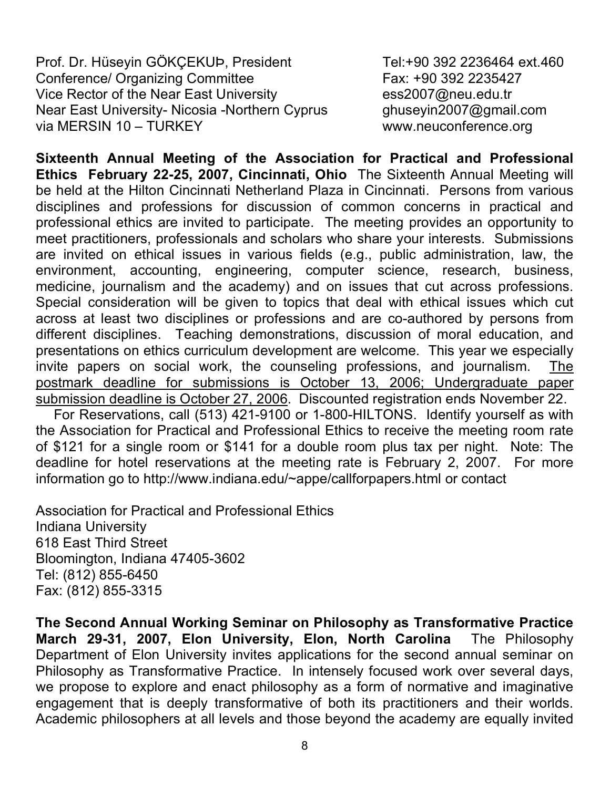Prof. Dr. Hüseyin GÖKÇEKUÞ, President Tel:+90 392 2236464 ext.460 Conference/ Organizing Committee Fax: +90 392 2235427 Vice Rector of the Near East University ess2007@neu.edu.tr Near East University- Nicosia -Northern Cyprus ghuseyin2007@gmail.com via MERSIN 10 – TURKEY www.neuconference.org

**Sixteenth Annual Meeting of the Association for Practical and Professional Ethics February 22-25, 2007, Cincinnati, Ohio** The Sixteenth Annual Meeting will be held at the Hilton Cincinnati Netherland Plaza in Cincinnati. Persons from various disciplines and professions for discussion of common concerns in practical and professional ethics are invited to participate. The meeting provides an opportunity to meet practitioners, professionals and scholars who share your interests. Submissions are invited on ethical issues in various fields (e.g., public administration, law, the environment, accounting, engineering, computer science, research, business, medicine, journalism and the academy) and on issues that cut across professions. Special consideration will be given to topics that deal with ethical issues which cut across at least two disciplines or professions and are co-authored by persons from different disciplines. Teaching demonstrations, discussion of moral education, and presentations on ethics curriculum development are welcome. This year we especially invite papers on social work, the counseling professions, and journalism. The postmark deadline for submissions is October 13, 2006; Undergraduate paper submission deadline is October 27, 2006. Discounted registration ends November 22.

For Reservations, call (513) 421-9100 or 1-800-HILTONS. Identify yourself as with the Association for Practical and Professional Ethics to receive the meeting room rate of \$121 for a single room or \$141 for a double room plus tax per night. Note: The deadline for hotel reservations at the meeting rate is February 2, 2007. For more information go to http://www.indiana.edu/~appe/callforpapers.html or contact

Association for Practical and Professional Ethics Indiana University 618 East Third Street Bloomington, Indiana 47405-3602 Tel: (812) 855-6450 Fax: (812) 855-3315

**The Second Annual Working Seminar on Philosophy as Transformative Practice March 29-31, 2007, Elon University, Elon, North Carolina** The Philosophy Department of Elon University invites applications for the second annual seminar on Philosophy as Transformative Practice. In intensely focused work over several days, we propose to explore and enact philosophy as a form of normative and imaginative engagement that is deeply transformative of both its practitioners and their worlds. Academic philosophers at all levels and those beyond the academy are equally invited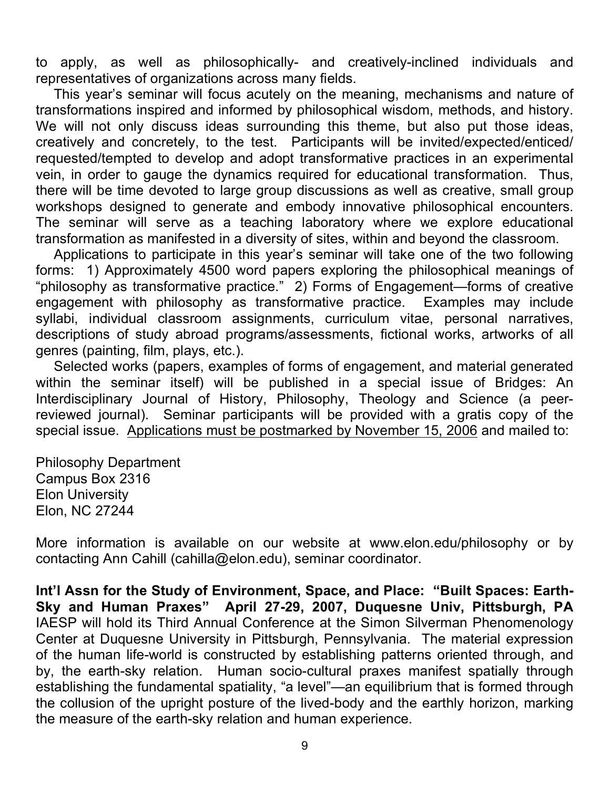to apply, as well as philosophically- and creatively-inclined individuals and representatives of organizations across many fields.

This year's seminar will focus acutely on the meaning, mechanisms and nature of transformations inspired and informed by philosophical wisdom, methods, and history. We will not only discuss ideas surrounding this theme, but also put those ideas, creatively and concretely, to the test. Participants will be invited/expected/enticed/ requested/tempted to develop and adopt transformative practices in an experimental vein, in order to gauge the dynamics required for educational transformation. Thus, there will be time devoted to large group discussions as well as creative, small group workshops designed to generate and embody innovative philosophical encounters. The seminar will serve as a teaching laboratory where we explore educational transformation as manifested in a diversity of sites, within and beyond the classroom.

Applications to participate in this year's seminar will take one of the two following forms: 1) Approximately 4500 word papers exploring the philosophical meanings of "philosophy as transformative practice." 2) Forms of Engagement—forms of creative engagement with philosophy as transformative practice. Examples may include syllabi, individual classroom assignments, curriculum vitae, personal narratives, descriptions of study abroad programs/assessments, fictional works, artworks of all genres (painting, film, plays, etc.).

Selected works (papers, examples of forms of engagement, and material generated within the seminar itself) will be published in a special issue of Bridges: An Interdisciplinary Journal of History, Philosophy, Theology and Science (a peerreviewed journal). Seminar participants will be provided with a gratis copy of the special issue. Applications must be postmarked by November 15, 2006 and mailed to:

Philosophy Department Campus Box 2316 Elon University Elon, NC 27244

More information is available on our website at www.elon.edu/philosophy or by contacting Ann Cahill (cahilla@elon.edu), seminar coordinator.

**Int'l Assn for the Study of Environment, Space, and Place: "Built Spaces: Earth-Sky and Human Praxes" April 27-29, 2007, Duquesne Univ, Pittsburgh, PA** IAESP will hold its Third Annual Conference at the Simon Silverman Phenomenology Center at Duquesne University in Pittsburgh, Pennsylvania. The material expression of the human life-world is constructed by establishing patterns oriented through, and by, the earth-sky relation. Human socio-cultural praxes manifest spatially through establishing the fundamental spatiality, "a level"—an equilibrium that is formed through the collusion of the upright posture of the lived-body and the earthly horizon, marking the measure of the earth-sky relation and human experience.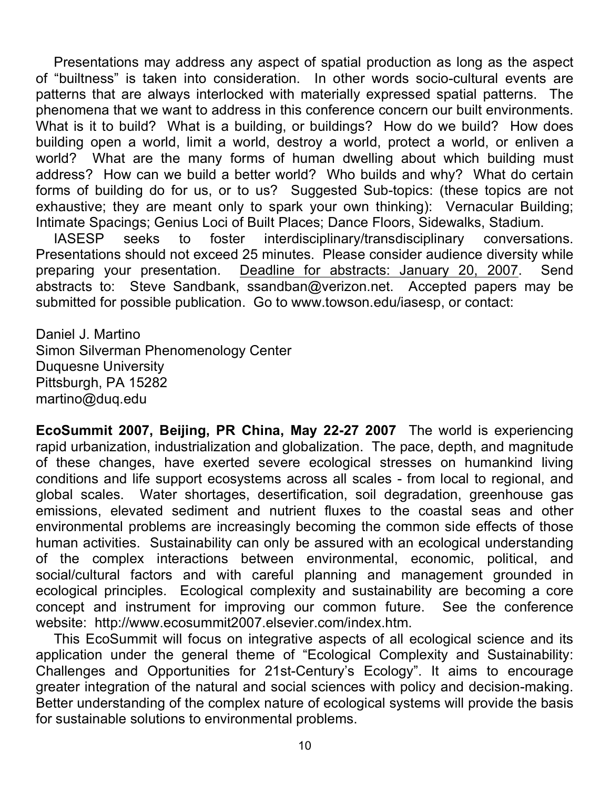Presentations may address any aspect of spatial production as long as the aspect of "builtness" is taken into consideration. In other words socio-cultural events are patterns that are always interlocked with materially expressed spatial patterns. The phenomena that we want to address in this conference concern our built environments. What is it to build? What is a building, or buildings? How do we build? How does building open a world, limit a world, destroy a world, protect a world, or enliven a world? What are the many forms of human dwelling about which building must address? How can we build a better world? Who builds and why? What do certain forms of building do for us, or to us? Suggested Sub-topics: (these topics are not exhaustive; they are meant only to spark your own thinking): Vernacular Building; Intimate Spacings; Genius Loci of Built Places; Dance Floors, Sidewalks, Stadium.

IASESP seeks to foster interdisciplinary/transdisciplinary conversations. Presentations should not exceed 25 minutes. Please consider audience diversity while preparing your presentation. Deadline for abstracts: January 20, 2007. Send abstracts to: Steve Sandbank, ssandban@verizon.net. Accepted papers may be submitted for possible publication. Go to www.towson.edu/iasesp, or contact:

Daniel J. Martino Simon Silverman Phenomenology Center Duquesne University Pittsburgh, PA 15282 martino@duq.edu

**EcoSummit 2007, Beijing, PR China, May 22-27 2007** The world is experiencing rapid urbanization, industrialization and globalization. The pace, depth, and magnitude of these changes, have exerted severe ecological stresses on humankind living conditions and life support ecosystems across all scales - from local to regional, and global scales. Water shortages, desertification, soil degradation, greenhouse gas emissions, elevated sediment and nutrient fluxes to the coastal seas and other environmental problems are increasingly becoming the common side effects of those human activities. Sustainability can only be assured with an ecological understanding of the complex interactions between environmental, economic, political, and social/cultural factors and with careful planning and management grounded in ecological principles. Ecological complexity and sustainability are becoming a core concept and instrument for improving our common future. See the conference website: http://www.ecosummit2007.elsevier.com/index.htm.

This EcoSummit will focus on integrative aspects of all ecological science and its application under the general theme of "Ecological Complexity and Sustainability: Challenges and Opportunities for 21st-Century's Ecology". It aims to encourage greater integration of the natural and social sciences with policy and decision-making. Better understanding of the complex nature of ecological systems will provide the basis for sustainable solutions to environmental problems.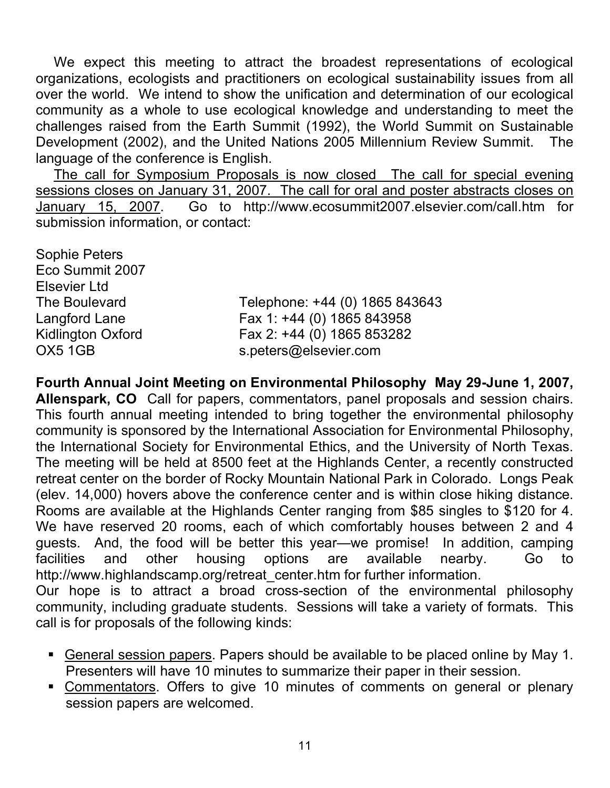We expect this meeting to attract the broadest representations of ecological organizations, ecologists and practitioners on ecological sustainability issues from all over the world. We intend to show the unification and determination of our ecological community as a whole to use ecological knowledge and understanding to meet the challenges raised from the Earth Summit (1992), the World Summit on Sustainable Development (2002), and the United Nations 2005 Millennium Review Summit. The language of the conference is English.

The call for Symposium Proposals is now closed The call for special evening sessions closes on January 31, 2007. The call for oral and poster abstracts closes on January 15, 2007. Go to http://www.ecosummit2007.elsevier.com/call.htm for submission information, or contact:

Sophie Peters Eco Summit 2007 Elsevier Ltd

The Boulevard Telephone: +44 (0) 1865 843643 Langford Lane Fax 1: +44 (0) 1865 843958 Kidlington Oxford **Fax 2: +44 (0) 1865 853282** OX5 1GB s.peters@elsevier.com

**Fourth Annual Joint Meeting on Environmental Philosophy May 29-June 1, 2007, Allenspark, CO** Call for papers, commentators, panel proposals and session chairs. This fourth annual meeting intended to bring together the environmental philosophy community is sponsored by the International Association for Environmental Philosophy, the International Society for Environmental Ethics, and the University of North Texas. The meeting will be held at 8500 feet at the Highlands Center, a recently constructed retreat center on the border of Rocky Mountain National Park in Colorado. Longs Peak (elev. 14,000) hovers above the conference center and is within close hiking distance. Rooms are available at the Highlands Center ranging from \$85 singles to \$120 for 4. We have reserved 20 rooms, each of which comfortably houses between 2 and 4 guests. And, the food will be better this year—we promise! In addition, camping facilities and other housing options are available nearby. Go to http://www.highlandscamp.org/retreat\_center.htm for further information.

Our hope is to attract a broad cross-section of the environmental philosophy community, including graduate students. Sessions will take a variety of formats. This call is for proposals of the following kinds:

- General session papers. Papers should be available to be placed online by May 1. Presenters will have 10 minutes to summarize their paper in their session.
- Commentators. Offers to give 10 minutes of comments on general or plenary session papers are welcomed.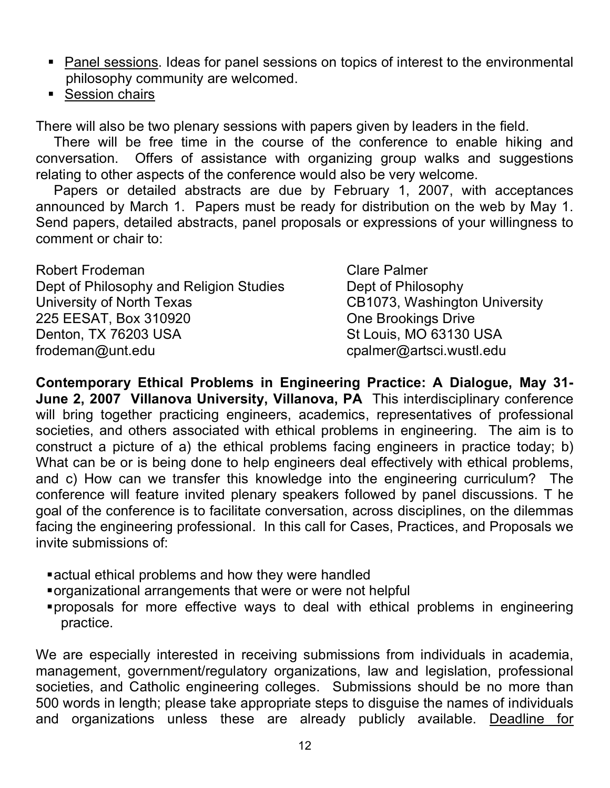- Panel sessions. Ideas for panel sessions on topics of interest to the environmental philosophy community are welcomed.
- **Session chairs**

There will also be two plenary sessions with papers given by leaders in the field.

There will be free time in the course of the conference to enable hiking and conversation. Offers of assistance with organizing group walks and suggestions relating to other aspects of the conference would also be very welcome.

Papers or detailed abstracts are due by February 1, 2007, with acceptances announced by March 1. Papers must be ready for distribution on the web by May 1. Send papers, detailed abstracts, panel proposals or expressions of your willingness to comment or chair to:

| <b>Robert Frodeman</b>                  | <b>Clare Palmer</b>           |
|-----------------------------------------|-------------------------------|
| Dept of Philosophy and Religion Studies | Dept of Philosophy            |
| University of North Texas               | CB1073, Washington University |
| 225 EESAT, Box 310920                   | <b>One Brookings Drive</b>    |
| Denton, TX 76203 USA                    | St Louis, MO 63130 USA        |
| frodeman@unt.edu                        | cpalmer@artsci.wustl.edu      |

**Contemporary Ethical Problems in Engineering Practice: A Dialogue, May 31- June 2, 2007 Villanova University, Villanova, PA** This interdisciplinary conference will bring together practicing engineers, academics, representatives of professional societies, and others associated with ethical problems in engineering. The aim is to construct a picture of a) the ethical problems facing engineers in practice today; b) What can be or is being done to help engineers deal effectively with ethical problems, and c) How can we transfer this knowledge into the engineering curriculum? The conference will feature invited plenary speakers followed by panel discussions. T he goal of the conference is to facilitate conversation, across disciplines, on the dilemmas facing the engineering professional. In this call for Cases, Practices, and Proposals we invite submissions of:

- actual ethical problems and how they were handled
- organizational arrangements that were or were not helpful
- proposals for more effective ways to deal with ethical problems in engineering practice.

We are especially interested in receiving submissions from individuals in academia, management, government/regulatory organizations, law and legislation, professional societies, and Catholic engineering colleges. Submissions should be no more than 500 words in length; please take appropriate steps to disguise the names of individuals and organizations unless these are already publicly available. Deadline for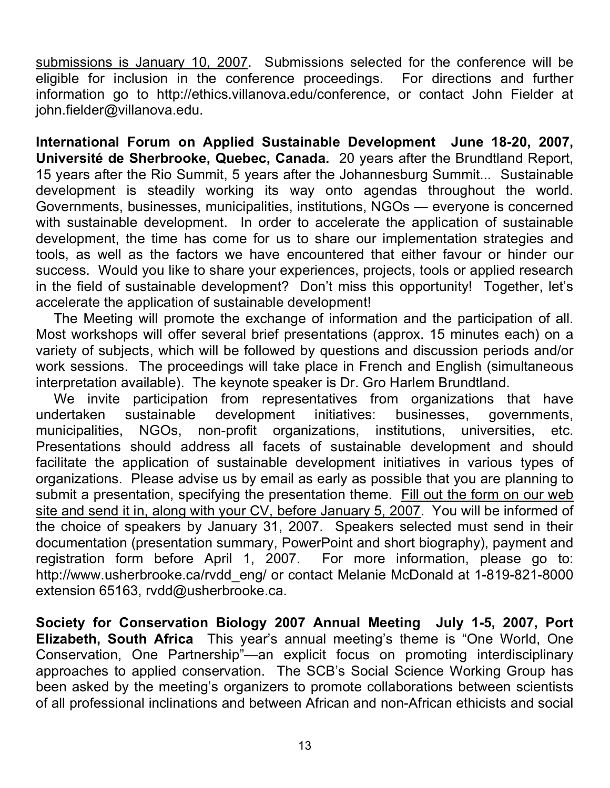submissions is January 10, 2007. Submissions selected for the conference will be eligible for inclusion in the conference proceedings. For directions and further information go to http://ethics.villanova.edu/conference, or contact John Fielder at john.fielder@villanova.edu.

**International Forum on Applied Sustainable Development June 18-20, 2007, Université de Sherbrooke, Quebec, Canada.** 20 years after the Brundtland Report, 15 years after the Rio Summit, 5 years after the Johannesburg Summit... Sustainable development is steadily working its way onto agendas throughout the world. Governments, businesses, municipalities, institutions, NGOs — everyone is concerned with sustainable development. In order to accelerate the application of sustainable development, the time has come for us to share our implementation strategies and tools, as well as the factors we have encountered that either favour or hinder our success. Would you like to share your experiences, projects, tools or applied research in the field of sustainable development? Don't miss this opportunity! Together, let's accelerate the application of sustainable development!

The Meeting will promote the exchange of information and the participation of all. Most workshops will offer several brief presentations (approx. 15 minutes each) on a variety of subjects, which will be followed by questions and discussion periods and/or work sessions. The proceedings will take place in French and English (simultaneous interpretation available). The keynote speaker is Dr. Gro Harlem Brundtland.

We invite participation from representatives from organizations that have undertaken sustainable development initiatives: businesses, governments, municipalities, NGOs, non-profit organizations, institutions, universities, etc. Presentations should address all facets of sustainable development and should facilitate the application of sustainable development initiatives in various types of organizations. Please advise us by email as early as possible that you are planning to submit a presentation, specifying the presentation theme. Fill out the form on our web site and send it in, along with your CV, before January 5, 2007. You will be informed of the choice of speakers by January 31, 2007. Speakers selected must send in their documentation (presentation summary, PowerPoint and short biography), payment and registration form before April 1, 2007. For more information, please go to: http://www.usherbrooke.ca/rvdd\_eng/ or contact Melanie McDonald at 1-819-821-8000 extension 65163, rvdd@usherbrooke.ca.

**Society for Conservation Biology 2007 Annual Meeting July 1-5, 2007, Port Elizabeth, South Africa** This year's annual meeting's theme is "One World, One Conservation, One Partnership"—an explicit focus on promoting interdisciplinary approaches to applied conservation. The SCB's Social Science Working Group has been asked by the meeting's organizers to promote collaborations between scientists of all professional inclinations and between African and non-African ethicists and social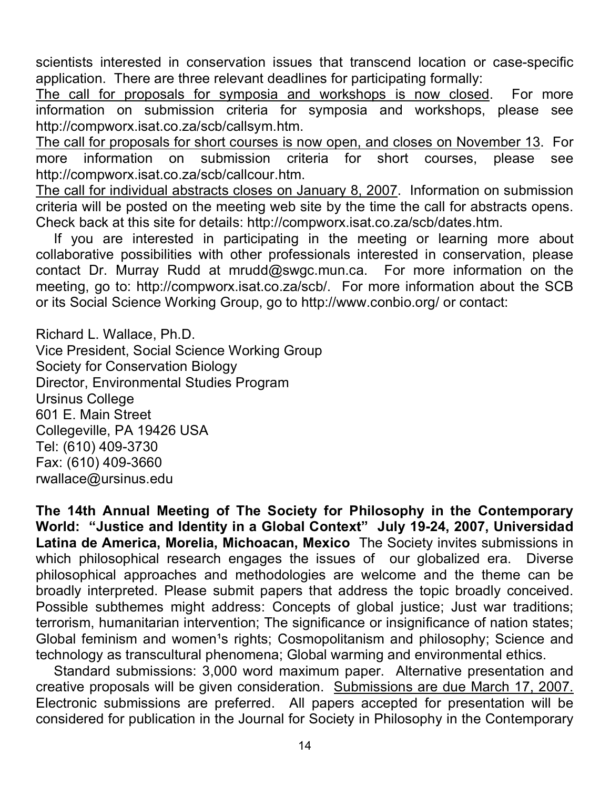scientists interested in conservation issues that transcend location or case-specific application. There are three relevant deadlines for participating formally:

The call for proposals for symposia and workshops is now closed. For more information on submission criteria for symposia and workshops, please see http://compworx.isat.co.za/scb/callsym.htm.

The call for proposals for short courses is now open, and closes on November 13. For more information on submission criteria for short courses, please see http://compworx.isat.co.za/scb/callcour.htm.

The call for individual abstracts closes on January 8, 2007. Information on submission criteria will be posted on the meeting web site by the time the call for abstracts opens. Check back at this site for details: http://compworx.isat.co.za/scb/dates.htm.

If you are interested in participating in the meeting or learning more about collaborative possibilities with other professionals interested in conservation, please contact Dr. Murray Rudd at mrudd@swgc.mun.ca. For more information on the meeting, go to: http://compworx.isat.co.za/scb/. For more information about the SCB or its Social Science Working Group, go to http://www.conbio.org/ or contact:

Richard L. Wallace, Ph.D. Vice President, Social Science Working Group Society for Conservation Biology Director, Environmental Studies Program Ursinus College 601 E. Main Street Collegeville, PA 19426 USA Tel: (610) 409-3730 Fax: (610) 409-3660 rwallace@ursinus.edu

**The 14th Annual Meeting of The Society for Philosophy in the Contemporary World: "Justice and Identity in a Global Context" July 19-24, 2007, Universidad Latina de America, Morelia, Michoacan, Mexico** The Society invites submissions in which philosophical research engages the issues of our globalized era. Diverse philosophical approaches and methodologies are welcome and the theme can be broadly interpreted. Please submit papers that address the topic broadly conceived. Possible subthemes might address: Concepts of global justice; Just war traditions; terrorism, humanitarian intervention; The significance or insignificance of nation states; Global feminism and women<sup>1</sup>s rights; Cosmopolitanism and philosophy; Science and technology as transcultural phenomena; Global warming and environmental ethics.

Standard submissions: 3,000 word maximum paper. Alternative presentation and creative proposals will be given consideration. Submissions are due March 17, 2007. Electronic submissions are preferred. All papers accepted for presentation will be considered for publication in the Journal for Society in Philosophy in the Contemporary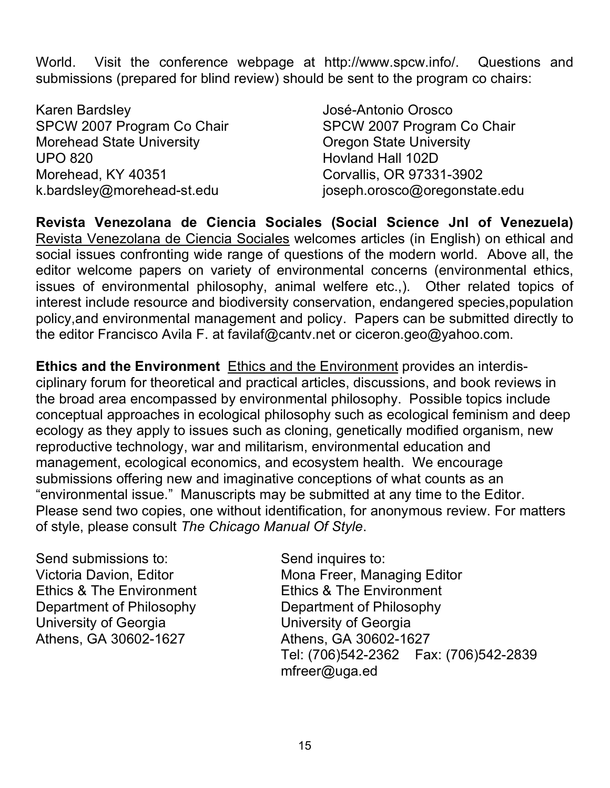World. Visit the conference webpage at http://www.spcw.info/. Questions and submissions (prepared for blind review) should be sent to the program co chairs:

Karen Bardsley José-Antonio Orosco SPCW 2007 Program Co Chair SPCW 2007 Program Co Chair Morehead State University **Notable 20 and State University** Oregon State University UPO 820 Hovland Hall 102D Morehead, KY 40351 Corvallis, OR 97331-3902

k.bardsley@morehead-st.edu joseph.orosco@oregonstate.edu

**Revista Venezolana de Ciencia Sociales (Social Science Jnl of Venezuela)** Revista Venezolana de Ciencia Sociales welcomes articles (in English) on ethical and social issues confronting wide range of questions of the modern world. Above all, the editor welcome papers on variety of environmental concerns (environmental ethics, issues of environmental philosophy, animal welfere etc.,). Other related topics of interest include resource and biodiversity conservation, endangered species,population policy,and environmental management and policy. Papers can be submitted directly to the editor Francisco Avila F. at favilaf@cantv.net or ciceron.geo@yahoo.com.

**Ethics and the Environment** Ethics and the Environment provides an interdisciplinary forum for theoretical and practical articles, discussions, and book reviews in the broad area encompassed by environmental philosophy. Possible topics include conceptual approaches in ecological philosophy such as ecological feminism and deep ecology as they apply to issues such as cloning, genetically modified organism, new reproductive technology, war and militarism, environmental education and management, ecological economics, and ecosystem health. We encourage submissions offering new and imaginative conceptions of what counts as an "environmental issue." Manuscripts may be submitted at any time to the Editor. Please send two copies, one without identification, for anonymous review. For matters of style, please consult *The Chicago Manual Of Style*.

Send submissions to: Send inquires to: Ethics & The Environment Ethics & The Environment Department of Philosophy Department of Philosophy University of Georgia University of Georgia Athens, GA 30602-1627 Athens, GA 30602-1627

Victoria Davion, Editor **Mona Freer, Managing Editor** Tel: (706)542-2362 Fax: (706)542-2839 mfreer@uga.ed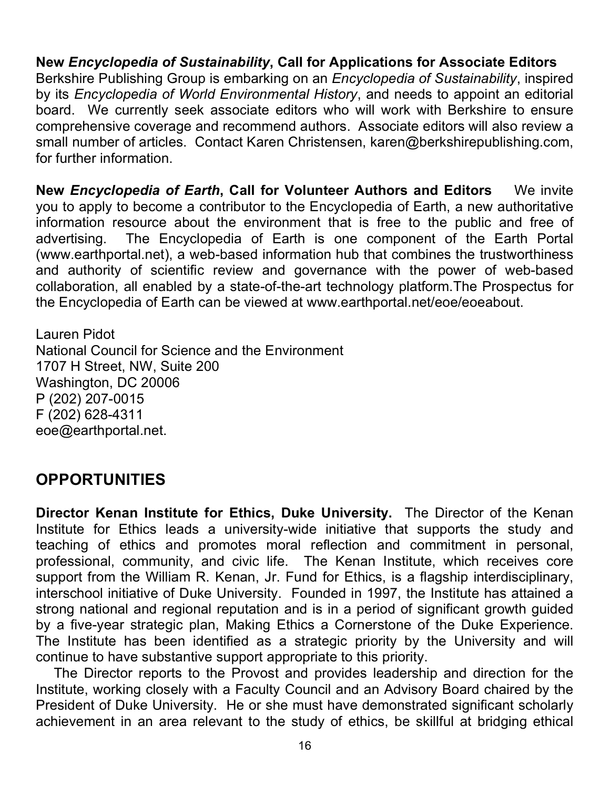**New** *Encyclopedia of Sustainability***, Call for Applications for Associate Editors** Berkshire Publishing Group is embarking on an *Encyclopedia of Sustainability*, inspired by its *Encyclopedia of World Environmental History*, and needs to appoint an editorial board. We currently seek associate editors who will work with Berkshire to ensure comprehensive coverage and recommend authors. Associate editors will also review a small number of articles. Contact Karen Christensen, karen@berkshirepublishing.com, for further information.

**New** *Encyclopedia of Earth***, Call for Volunteer Authors and Editors** We invite you to apply to become a contributor to the Encyclopedia of Earth, a new authoritative information resource about the environment that is free to the public and free of advertising. The Encyclopedia of Earth is one component of the Earth Portal (www.earthportal.net), a web-based information hub that combines the trustworthiness and authority of scientific review and governance with the power of web-based collaboration, all enabled by a state-of-the-art technology platform.The Prospectus for the Encyclopedia of Earth can be viewed at www.earthportal.net/eoe/eoeabout.

Lauren Pidot National Council for Science and the Environment 1707 H Street, NW, Suite 200 Washington, DC 20006 P (202) 207-0015 F (202) 628-4311 eoe@earthportal.net.

## **OPPORTUNITIES**

**Director Kenan Institute for Ethics, Duke University.** The Director of the Kenan Institute for Ethics leads a university-wide initiative that supports the study and teaching of ethics and promotes moral reflection and commitment in personal, professional, community, and civic life. The Kenan Institute, which receives core support from the William R. Kenan, Jr. Fund for Ethics, is a flagship interdisciplinary, interschool initiative of Duke University. Founded in 1997, the Institute has attained a strong national and regional reputation and is in a period of significant growth guided by a five-year strategic plan, Making Ethics a Cornerstone of the Duke Experience. The Institute has been identified as a strategic priority by the University and will continue to have substantive support appropriate to this priority.

The Director reports to the Provost and provides leadership and direction for the Institute, working closely with a Faculty Council and an Advisory Board chaired by the President of Duke University. He or she must have demonstrated significant scholarly achievement in an area relevant to the study of ethics, be skillful at bridging ethical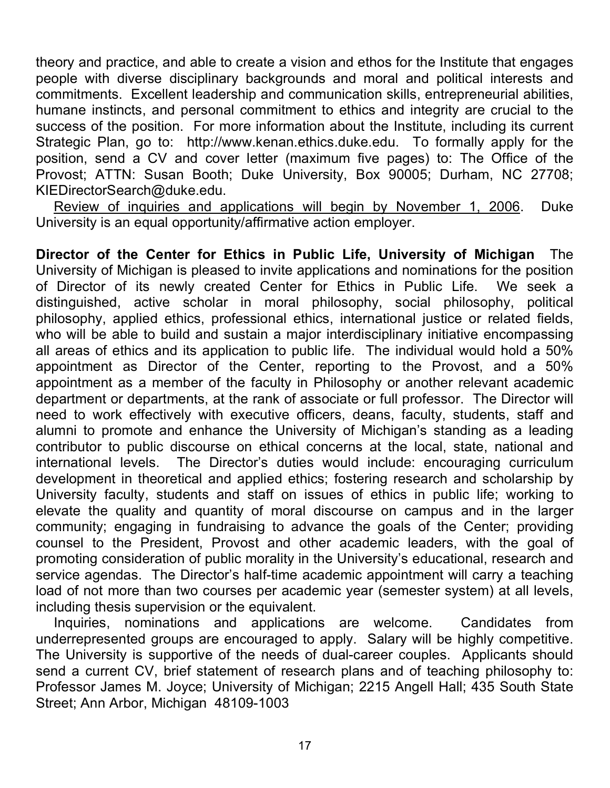theory and practice, and able to create a vision and ethos for the Institute that engages people with diverse disciplinary backgrounds and moral and political interests and commitments. Excellent leadership and communication skills, entrepreneurial abilities, humane instincts, and personal commitment to ethics and integrity are crucial to the success of the position. For more information about the Institute, including its current Strategic Plan, go to: http://www.kenan.ethics.duke.edu. To formally apply for the position, send a CV and cover letter (maximum five pages) to: The Office of the Provost; ATTN: Susan Booth; Duke University, Box 90005; Durham, NC 27708; KIEDirectorSearch@duke.edu.

Review of inquiries and applications will begin by November 1, 2006. Duke University is an equal opportunity/affirmative action employer.

**Director of the Center for Ethics in Public Life, University of Michigan** The University of Michigan is pleased to invite applications and nominations for the position of Director of its newly created Center for Ethics in Public Life. We seek a distinguished, active scholar in moral philosophy, social philosophy, political philosophy, applied ethics, professional ethics, international justice or related fields, who will be able to build and sustain a major interdisciplinary initiative encompassing all areas of ethics and its application to public life. The individual would hold a 50% appointment as Director of the Center, reporting to the Provost, and a 50% appointment as a member of the faculty in Philosophy or another relevant academic department or departments, at the rank of associate or full professor. The Director will need to work effectively with executive officers, deans, faculty, students, staff and alumni to promote and enhance the University of Michigan's standing as a leading contributor to public discourse on ethical concerns at the local, state, national and international levels. The Director's duties would include: encouraging curriculum development in theoretical and applied ethics; fostering research and scholarship by University faculty, students and staff on issues of ethics in public life; working to elevate the quality and quantity of moral discourse on campus and in the larger community; engaging in fundraising to advance the goals of the Center; providing counsel to the President, Provost and other academic leaders, with the goal of promoting consideration of public morality in the University's educational, research and service agendas. The Director's half-time academic appointment will carry a teaching load of not more than two courses per academic year (semester system) at all levels, including thesis supervision or the equivalent.

Inquiries, nominations and applications are welcome. Candidates from underrepresented groups are encouraged to apply. Salary will be highly competitive. The University is supportive of the needs of dual-career couples. Applicants should send a current CV, brief statement of research plans and of teaching philosophy to: Professor James M. Joyce; University of Michigan; 2215 Angell Hall; 435 South State Street; Ann Arbor, Michigan 48109-1003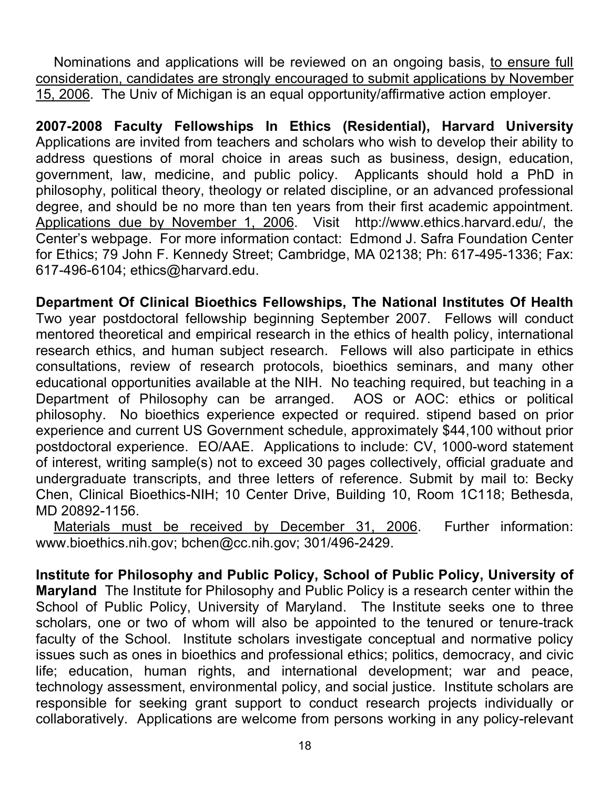Nominations and applications will be reviewed on an ongoing basis, to ensure full consideration, candidates are strongly encouraged to submit applications by November 15, 2006. The Univ of Michigan is an equal opportunity/affirmative action employer.

**2007-2008 Faculty Fellowships In Ethics (Residential), Harvard University** Applications are invited from teachers and scholars who wish to develop their ability to address questions of moral choice in areas such as business, design, education, government, law, medicine, and public policy. Applicants should hold a PhD in philosophy, political theory, theology or related discipline, or an advanced professional degree, and should be no more than ten years from their first academic appointment. Applications due by November 1, 2006. Visit http://www.ethics.harvard.edu/, the Center's webpage. For more information contact: Edmond J. Safra Foundation Center for Ethics; 79 John F. Kennedy Street; Cambridge, MA 02138; Ph: 617-495-1336; Fax: 617-496-6104; ethics@harvard.edu.

**Department Of Clinical Bioethics Fellowships, The National Institutes Of Health** Two year postdoctoral fellowship beginning September 2007. Fellows will conduct mentored theoretical and empirical research in the ethics of health policy, international research ethics, and human subject research. Fellows will also participate in ethics consultations, review of research protocols, bioethics seminars, and many other educational opportunities available at the NIH. No teaching required, but teaching in a Department of Philosophy can be arranged. AOS or AOC: ethics or political philosophy. No bioethics experience expected or required. stipend based on prior experience and current US Government schedule, approximately \$44,100 without prior postdoctoral experience. EO/AAE. Applications to include: CV, 1000-word statement of interest, writing sample(s) not to exceed 30 pages collectively, official graduate and undergraduate transcripts, and three letters of reference. Submit by mail to: Becky Chen, Clinical Bioethics-NIH; 10 Center Drive, Building 10, Room 1C118; Bethesda, MD 20892-1156.

Materials must be received by December 31, 2006. Further information: www.bioethics.nih.gov; bchen@cc.nih.gov; 301/496-2429.

**Institute for Philosophy and Public Policy, School of Public Policy, University of Maryland** The Institute for Philosophy and Public Policy is a research center within the School of Public Policy, University of Maryland. The Institute seeks one to three scholars, one or two of whom will also be appointed to the tenured or tenure-track faculty of the School. Institute scholars investigate conceptual and normative policy issues such as ones in bioethics and professional ethics; politics, democracy, and civic life; education, human rights, and international development; war and peace, technology assessment, environmental policy, and social justice. Institute scholars are responsible for seeking grant support to conduct research projects individually or collaboratively. Applications are welcome from persons working in any policy-relevant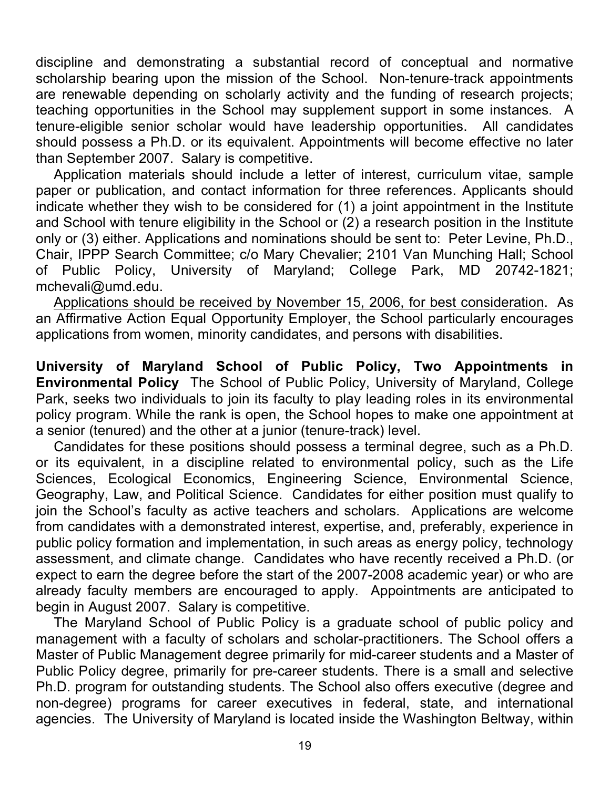discipline and demonstrating a substantial record of conceptual and normative scholarship bearing upon the mission of the School. Non-tenure-track appointments are renewable depending on scholarly activity and the funding of research projects; teaching opportunities in the School may supplement support in some instances. A tenure-eligible senior scholar would have leadership opportunities. All candidates should possess a Ph.D. or its equivalent. Appointments will become effective no later than September 2007. Salary is competitive.

Application materials should include a letter of interest, curriculum vitae, sample paper or publication, and contact information for three references. Applicants should indicate whether they wish to be considered for (1) a joint appointment in the Institute and School with tenure eligibility in the School or (2) a research position in the Institute only or (3) either. Applications and nominations should be sent to: Peter Levine, Ph.D., Chair, IPPP Search Committee; c/o Mary Chevalier; 2101 Van Munching Hall; School of Public Policy, University of Maryland; College Park, MD 20742-1821; mchevali@umd.edu.

Applications should be received by November 15, 2006, for best consideration. As an Affirmative Action Equal Opportunity Employer, the School particularly encourages applications from women, minority candidates, and persons with disabilities.

**University of Maryland School of Public Policy, Two Appointments in Environmental Policy** The School of Public Policy, University of Maryland, College Park, seeks two individuals to join its faculty to play leading roles in its environmental policy program. While the rank is open, the School hopes to make one appointment at a senior (tenured) and the other at a junior (tenure-track) level.

Candidates for these positions should possess a terminal degree, such as a Ph.D. or its equivalent, in a discipline related to environmental policy, such as the Life Sciences, Ecological Economics, Engineering Science, Environmental Science, Geography, Law, and Political Science. Candidates for either position must qualify to join the School's faculty as active teachers and scholars. Applications are welcome from candidates with a demonstrated interest, expertise, and, preferably, experience in public policy formation and implementation, in such areas as energy policy, technology assessment, and climate change. Candidates who have recently received a Ph.D. (or expect to earn the degree before the start of the 2007-2008 academic year) or who are already faculty members are encouraged to apply. Appointments are anticipated to begin in August 2007. Salary is competitive.

The Maryland School of Public Policy is a graduate school of public policy and management with a faculty of scholars and scholar-practitioners. The School offers a Master of Public Management degree primarily for mid-career students and a Master of Public Policy degree, primarily for pre-career students. There is a small and selective Ph.D. program for outstanding students. The School also offers executive (degree and non-degree) programs for career executives in federal, state, and international agencies. The University of Maryland is located inside the Washington Beltway, within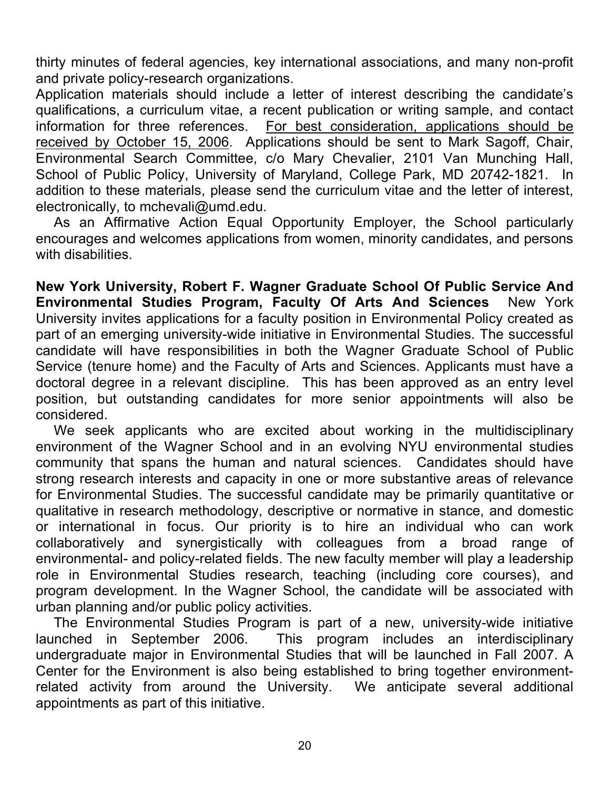thirty minutes of federal agencies, key international associations, and many non-profit and private policy-research organizations.

Application materials should include a letter of interest describing the candidate's qualifications, a curriculum vitae, a recent publication or writing sample, and contact information for three references. For best consideration, applications should be received by October 15, 2006. Applications should be sent to Mark Sagoff, Chair, Environmental Search Committee, c/o Mary Chevalier, 2101 Van Munching Hall, School of Public Policy, University of Maryland, College Park, MD 20742-1821. In addition to these materials, please send the curriculum vitae and the letter of interest, electronically, to mchevali@umd.edu.

As an Affirmative Action Equal Opportunity Employer, the School particularly encourages and welcomes applications from women, minority candidates, and persons with disabilities.

**New York University, Robert F. Wagner Graduate School Of Public Service And Environmental Studies Program, Faculty Of Arts And Sciences** New York University invites applications for a faculty position in Environmental Policy created as part of an emerging university-wide initiative in Environmental Studies. The successful candidate will have responsibilities in both the Wagner Graduate School of Public Service (tenure home) and the Faculty of Arts and Sciences. Applicants must have a doctoral degree in a relevant discipline. This has been approved as an entry level position, but outstanding candidates for more senior appointments will also be considered.

We seek applicants who are excited about working in the multidisciplinary environment of the Wagner School and in an evolving NYU environmental studies community that spans the human and natural sciences. Candidates should have strong research interests and capacity in one or more substantive areas of relevance for Environmental Studies. The successful candidate may be primarily quantitative or qualitative in research methodology, descriptive or normative in stance, and domestic or international in focus. Our priority is to hire an individual who can work collaboratively and synergistically with colleagues from a broad range of environmental- and policy-related fields. The new faculty member will play a leadership role in Environmental Studies research, teaching (including core courses), and program development. In the Wagner School, the candidate will be associated with urban planning and/or public policy activities.

The Environmental Studies Program is part of a new, university-wide initiative launched in September 2006. This program includes an interdisciplinary undergraduate major in Environmental Studies that will be launched in Fall 2007. A Center for the Environment is also being established to bring together environmentrelated activity from around the University. We anticipate several additional appointments as part of this initiative.

20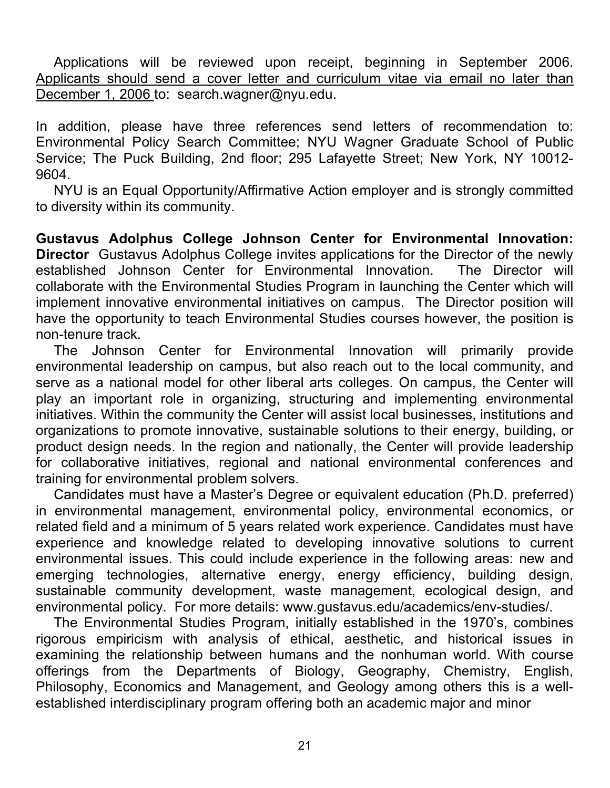Applications will be reviewed upon receipt, beginning in September 2006. Applicants should send a cover letter and curriculum vitae via email no later than December 1, 2006 to: search.wagner@nyu.edu.

In addition, please have three references send letters of recommendation to: Environmental Policy Search Committee; NYU Wagner Graduate School of Public Service; The Puck Building, 2nd floor; 295 Lafayette Street; New York, NY 10012- 9604.

NYU is an Equal Opportunity/Affirmative Action employer and is strongly committed to diversity within its community.

**Gustavus Adolphus College Johnson Center for Environmental Innovation: Director** Gustavus Adolphus College invites applications for the Director of the newly established Johnson Center for Environmental Innovation. The Director will collaborate with the Environmental Studies Program in launching the Center which will implement innovative environmental initiatives on campus. The Director position will have the opportunity to teach Environmental Studies courses however, the position is non-tenure track.

The Johnson Center for Environmental Innovation will primarily provide environmental leadership on campus, but also reach out to the local community, and serve as a national model for other liberal arts colleges. On campus, the Center will play an important role in organizing, structuring and implementing environmental initiatives. Within the community the Center will assist local businesses, institutions and organizations to promote innovative, sustainable solutions to their energy, building, or product design needs. In the region and nationally, the Center will provide leadership for collaborative initiatives, regional and national environmental conferences and training for environmental problem solvers.

Candidates must have a Master's Degree or equivalent education (Ph.D. preferred) in environmental management, environmental policy, environmental economics, or related field and a minimum of 5 years related work experience. Candidates must have experience and knowledge related to developing innovative solutions to current environmental issues. This could include experience in the following areas: new and emerging technologies, alternative energy, energy efficiency, building design, sustainable community development, waste management, ecological design, and environmental policy. For more details: www.gustavus.edu/academics/env-studies/.

The Environmental Studies Program, initially established in the 1970's, combines rigorous empiricism with analysis of ethical, aesthetic, and historical issues in examining the relationship between humans and the nonhuman world. With course offerings from the Departments of Biology, Geography, Chemistry, English, Philosophy, Economics and Management, and Geology among others this is a wellestablished interdisciplinary program offering both an academic major and minor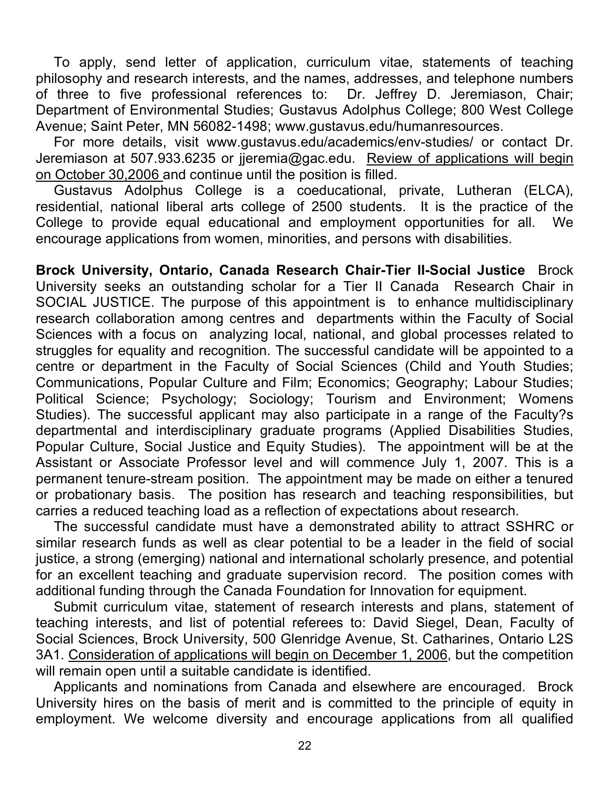To apply, send letter of application, curriculum vitae, statements of teaching philosophy and research interests, and the names, addresses, and telephone numbers of three to five professional references to: Dr. Jeffrey D. Jeremiason, Chair; Department of Environmental Studies; Gustavus Adolphus College; 800 West College Avenue; Saint Peter, MN 56082-1498; www.gustavus.edu/humanresources.

For more details, visit www.gustavus.edu/academics/env-studies/ or contact Dr. Jeremiason at 507.933.6235 or jjeremia@gac.edu. Review of applications will begin on October 30,2006 and continue until the position is filled.

Gustavus Adolphus College is a coeducational, private, Lutheran (ELCA), residential, national liberal arts college of 2500 students. It is the practice of the College to provide equal educational and employment opportunities for all. We encourage applications from women, minorities, and persons with disabilities.

**Brock University, Ontario, Canada Research Chair-Tier II-Social Justice** Brock University seeks an outstanding scholar for a Tier II Canada Research Chair in SOCIAL JUSTICE. The purpose of this appointment is to enhance multidisciplinary research collaboration among centres and departments within the Faculty of Social Sciences with a focus on analyzing local, national, and global processes related to struggles for equality and recognition. The successful candidate will be appointed to a centre or department in the Faculty of Social Sciences (Child and Youth Studies; Communications, Popular Culture and Film; Economics; Geography; Labour Studies; Political Science; Psychology; Sociology; Tourism and Environment; Womens Studies). The successful applicant may also participate in a range of the Faculty?s departmental and interdisciplinary graduate programs (Applied Disabilities Studies, Popular Culture, Social Justice and Equity Studies). The appointment will be at the Assistant or Associate Professor level and will commence July 1, 2007. This is a permanent tenure-stream position. The appointment may be made on either a tenured or probationary basis. The position has research and teaching responsibilities, but carries a reduced teaching load as a reflection of expectations about research.

The successful candidate must have a demonstrated ability to attract SSHRC or similar research funds as well as clear potential to be a leader in the field of social justice, a strong (emerging) national and international scholarly presence, and potential for an excellent teaching and graduate supervision record. The position comes with additional funding through the Canada Foundation for Innovation for equipment.

Submit curriculum vitae, statement of research interests and plans, statement of teaching interests, and list of potential referees to: David Siegel, Dean, Faculty of Social Sciences, Brock University, 500 Glenridge Avenue, St. Catharines, Ontario L2S 3A1. Consideration of applications will begin on December 1, 2006, but the competition will remain open until a suitable candidate is identified.

Applicants and nominations from Canada and elsewhere are encouraged. Brock University hires on the basis of merit and is committed to the principle of equity in employment. We welcome diversity and encourage applications from all qualified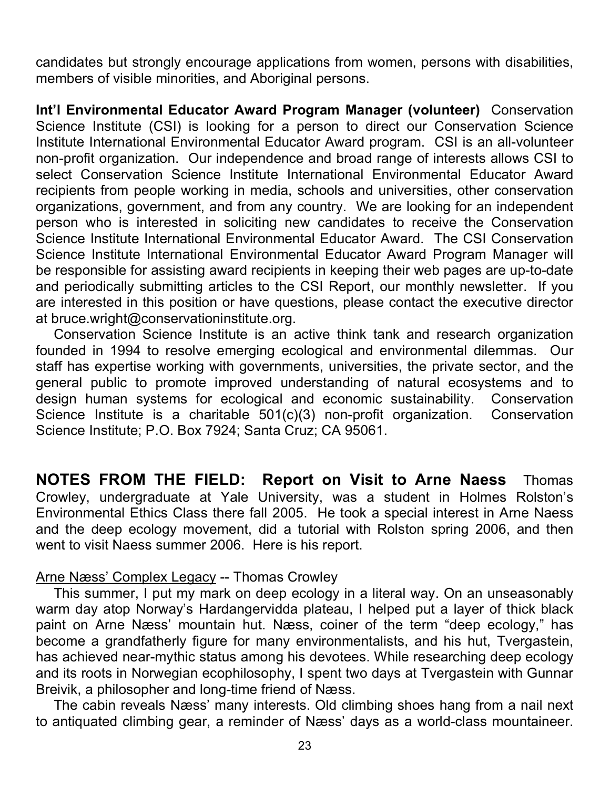candidates but strongly encourage applications from women, persons with disabilities, members of visible minorities, and Aboriginal persons.

**Int'l Environmental Educator Award Program Manager (volunteer)** Conservation Science Institute (CSI) is looking for a person to direct our Conservation Science Institute International Environmental Educator Award program. CSI is an all-volunteer non-profit organization. Our independence and broad range of interests allows CSI to select Conservation Science Institute International Environmental Educator Award recipients from people working in media, schools and universities, other conservation organizations, government, and from any country. We are looking for an independent person who is interested in soliciting new candidates to receive the Conservation Science Institute International Environmental Educator Award. The CSI Conservation Science Institute International Environmental Educator Award Program Manager will be responsible for assisting award recipients in keeping their web pages are up-to-date and periodically submitting articles to the CSI Report, our monthly newsletter. If you are interested in this position or have questions, please contact the executive director at bruce.wright@conservationinstitute.org.

Conservation Science Institute is an active think tank and research organization founded in 1994 to resolve emerging ecological and environmental dilemmas. Our staff has expertise working with governments, universities, the private sector, and the general public to promote improved understanding of natural ecosystems and to design human systems for ecological and economic sustainability. Conservation Science Institute is a charitable 501(c)(3) non-profit organization. Conservation Science Institute; P.O. Box 7924; Santa Cruz; CA 95061.

**NOTES FROM THE FIELD: Report on Visit to Arne Naess** Thomas Crowley, undergraduate at Yale University, was a student in Holmes Rolston's Environmental Ethics Class there fall 2005. He took a special interest in Arne Naess and the deep ecology movement, did a tutorial with Rolston spring 2006, and then went to visit Naess summer 2006. Here is his report.

#### Arne Næss' Complex Legacy -- Thomas Crowley

This summer, I put my mark on deep ecology in a literal way. On an unseasonably warm day atop Norway's Hardangervidda plateau, I helped put a layer of thick black paint on Arne Næss' mountain hut. Næss, coiner of the term "deep ecology," has become a grandfatherly figure for many environmentalists, and his hut, Tvergastein, has achieved near-mythic status among his devotees. While researching deep ecology and its roots in Norwegian ecophilosophy, I spent two days at Tvergastein with Gunnar Breivik, a philosopher and long-time friend of Næss.

The cabin reveals Næss' many interests. Old climbing shoes hang from a nail next to antiquated climbing gear, a reminder of Næss' days as a world-class mountaineer.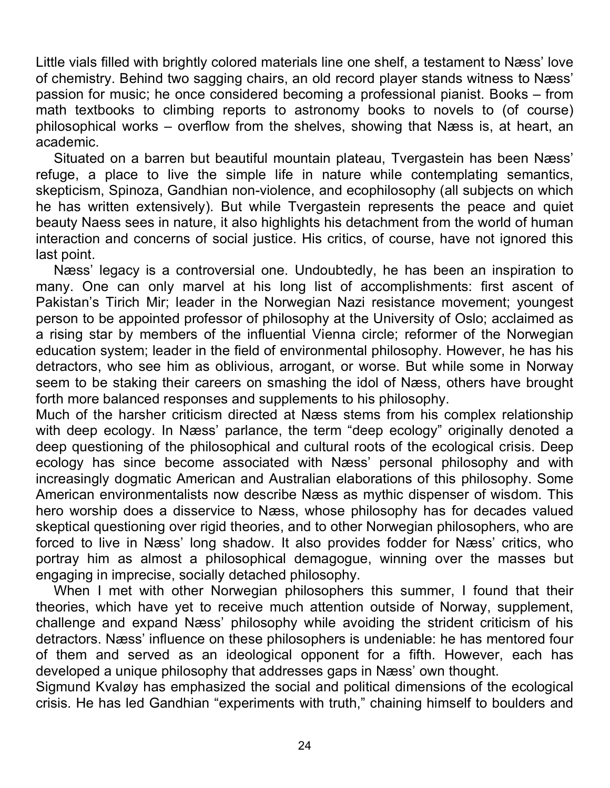Little vials filled with brightly colored materials line one shelf, a testament to Næss' love of chemistry. Behind two sagging chairs, an old record player stands witness to Næss' passion for music; he once considered becoming a professional pianist. Books – from math textbooks to climbing reports to astronomy books to novels to (of course) philosophical works – overflow from the shelves, showing that Næss is, at heart, an academic.

Situated on a barren but beautiful mountain plateau, Tvergastein has been Næss' refuge, a place to live the simple life in nature while contemplating semantics, skepticism, Spinoza, Gandhian non-violence, and ecophilosophy (all subjects on which he has written extensively). But while Tvergastein represents the peace and quiet beauty Naess sees in nature, it also highlights his detachment from the world of human interaction and concerns of social justice. His critics, of course, have not ignored this last point.

Næss' legacy is a controversial one. Undoubtedly, he has been an inspiration to many. One can only marvel at his long list of accomplishments: first ascent of Pakistan's Tirich Mir; leader in the Norwegian Nazi resistance movement; youngest person to be appointed professor of philosophy at the University of Oslo; acclaimed as a rising star by members of the influential Vienna circle; reformer of the Norwegian education system; leader in the field of environmental philosophy. However, he has his detractors, who see him as oblivious, arrogant, or worse. But while some in Norway seem to be staking their careers on smashing the idol of Næss, others have brought forth more balanced responses and supplements to his philosophy.

Much of the harsher criticism directed at Næss stems from his complex relationship with deep ecology. In Næss' parlance, the term "deep ecology" originally denoted a deep questioning of the philosophical and cultural roots of the ecological crisis. Deep ecology has since become associated with Næss' personal philosophy and with increasingly dogmatic American and Australian elaborations of this philosophy. Some American environmentalists now describe Næss as mythic dispenser of wisdom. This hero worship does a disservice to Næss, whose philosophy has for decades valued skeptical questioning over rigid theories, and to other Norwegian philosophers, who are forced to live in Næss' long shadow. It also provides fodder for Næss' critics, who portray him as almost a philosophical demagogue, winning over the masses but engaging in imprecise, socially detached philosophy.

When I met with other Norwegian philosophers this summer, I found that their theories, which have yet to receive much attention outside of Norway, supplement, challenge and expand Næss' philosophy while avoiding the strident criticism of his detractors. Næss' influence on these philosophers is undeniable: he has mentored four of them and served as an ideological opponent for a fifth. However, each has developed a unique philosophy that addresses gaps in Næss' own thought.

Sigmund Kvaløy has emphasized the social and political dimensions of the ecological crisis. He has led Gandhian "experiments with truth," chaining himself to boulders and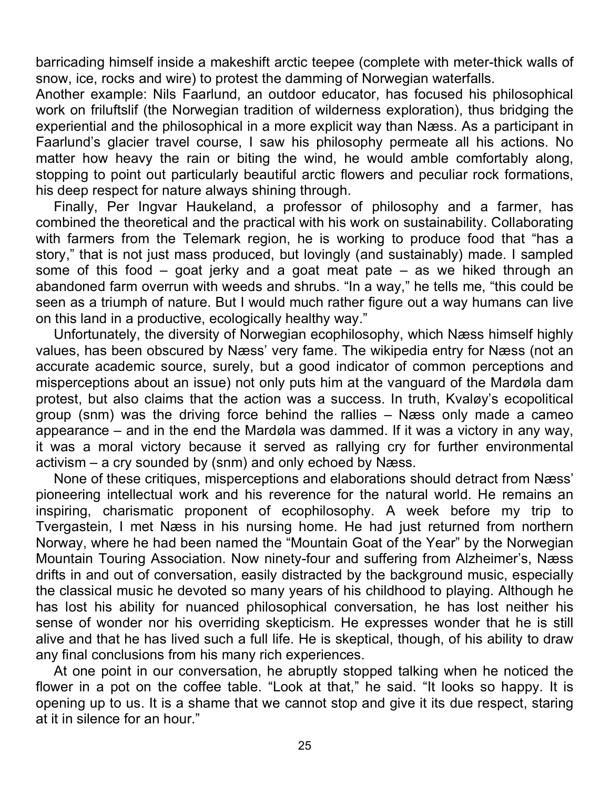barricading himself inside a makeshift arctic teepee (complete with meter-thick walls of snow, ice, rocks and wire) to protest the damming of Norwegian waterfalls.

Another example: Nils Faarlund, an outdoor educator, has focused his philosophical work on friluftslif (the Norwegian tradition of wilderness exploration), thus bridging the experiential and the philosophical in a more explicit way than Næss. As a participant in Faarlund's glacier travel course, I saw his philosophy permeate all his actions. No matter how heavy the rain or biting the wind, he would amble comfortably along, stopping to point out particularly beautiful arctic flowers and peculiar rock formations, his deep respect for nature always shining through.

Finally, Per Ingvar Haukeland, a professor of philosophy and a farmer, has combined the theoretical and the practical with his work on sustainability. Collaborating with farmers from the Telemark region, he is working to produce food that "has a story," that is not just mass produced, but lovingly (and sustainably) made. I sampled some of this food – goat jerky and a goat meat pate – as we hiked through an abandoned farm overrun with weeds and shrubs. "In a way," he tells me, "this could be seen as a triumph of nature. But I would much rather figure out a way humans can live on this land in a productive, ecologically healthy way."

Unfortunately, the diversity of Norwegian ecophilosophy, which Næss himself highly values, has been obscured by Næss' very fame. The wikipedia entry for Næss (not an accurate academic source, surely, but a good indicator of common perceptions and misperceptions about an issue) not only puts him at the vanguard of the Mardøla dam protest, but also claims that the action was a success. In truth, Kvaløy's ecopolitical group (snm) was the driving force behind the rallies – Næss only made a cameo appearance – and in the end the Mardøla was dammed. If it was a victory in any way, it was a moral victory because it served as rallying cry for further environmental activism – a cry sounded by (snm) and only echoed by Næss.

None of these critiques, misperceptions and elaborations should detract from Næss' pioneering intellectual work and his reverence for the natural world. He remains an inspiring, charismatic proponent of ecophilosophy. A week before my trip to Tvergastein, I met Næss in his nursing home. He had just returned from northern Norway, where he had been named the "Mountain Goat of the Year" by the Norwegian Mountain Touring Association. Now ninety-four and suffering from Alzheimer's, Næss drifts in and out of conversation, easily distracted by the background music, especially the classical music he devoted so many years of his childhood to playing. Although he has lost his ability for nuanced philosophical conversation, he has lost neither his sense of wonder nor his overriding skepticism. He expresses wonder that he is still alive and that he has lived such a full life. He is skeptical, though, of his ability to draw any final conclusions from his many rich experiences.

At one point in our conversation, he abruptly stopped talking when he noticed the flower in a pot on the coffee table. "Look at that," he said. "It looks so happy. It is opening up to us. It is a shame that we cannot stop and give it its due respect, staring at it in silence for an hour."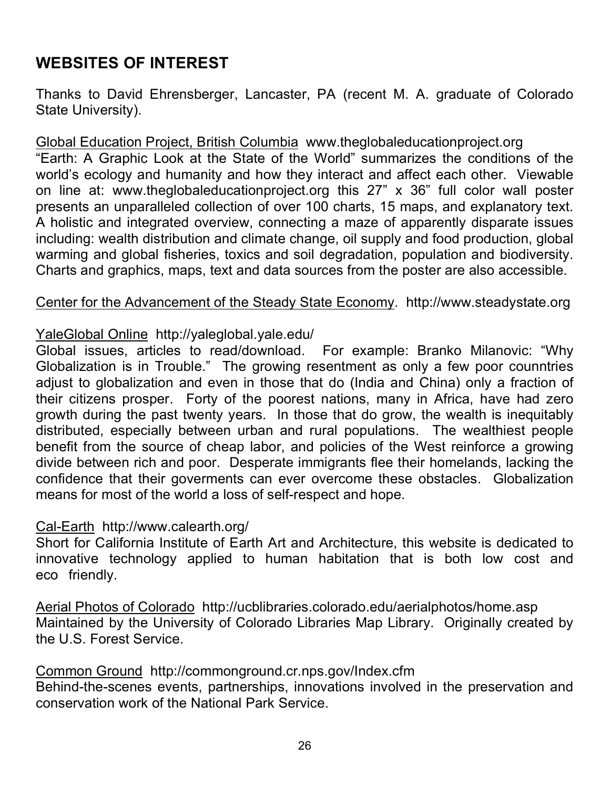## **WEBSITES OF INTEREST**

Thanks to David Ehrensberger, Lancaster, PA (recent M. A. graduate of Colorado State University).

Global Education Project, British Columbia www.theglobaleducationproject.org

"Earth: A Graphic Look at the State of the World" summarizes the conditions of the world's ecology and humanity and how they interact and affect each other. Viewable on line at: www.theglobaleducationproject.org this 27" x 36" full color wall poster presents an unparalleled collection of over 100 charts, 15 maps, and explanatory text. A holistic and integrated overview, connecting a maze of apparently disparate issues including: wealth distribution and climate change, oil supply and food production, global warming and global fisheries, toxics and soil degradation, population and biodiversity. Charts and graphics, maps, text and data sources from the poster are also accessible.

#### Center for the Advancement of the Steady State Economy. http://www.steadystate.org

#### YaleGlobal Online http://yaleglobal.yale.edu/

Global issues, articles to read/download. For example: Branko Milanovic: "Why Globalization is in Trouble." The growing resentment as only a few poor counntries adjust to globalization and even in those that do (India and China) only a fraction of their citizens prosper. Forty of the poorest nations, many in Africa, have had zero growth during the past twenty years. In those that do grow, the wealth is inequitably distributed, especially between urban and rural populations. The wealthiest people benefit from the source of cheap labor, and policies of the West reinforce a growing divide between rich and poor. Desperate immigrants flee their homelands, lacking the confidence that their goverments can ever overcome these obstacles. Globalization means for most of the world a loss of self-respect and hope.

#### Cal-Earth http://www.calearth.org/

Short for California Institute of Earth Art and Architecture, this website is dedicated to innovative technology applied to human habitation that is both low cost and eco friendly.

Aerial Photos of Colorado http://ucblibraries.colorado.edu/aerialphotos/home.asp Maintained by the University of Colorado Libraries Map Library. Originally created by the U.S. Forest Service.

#### Common Ground http://commonground.cr.nps.gov/Index.cfm

Behind-the-scenes events, partnerships, innovations involved in the preservation and conservation work of the National Park Service.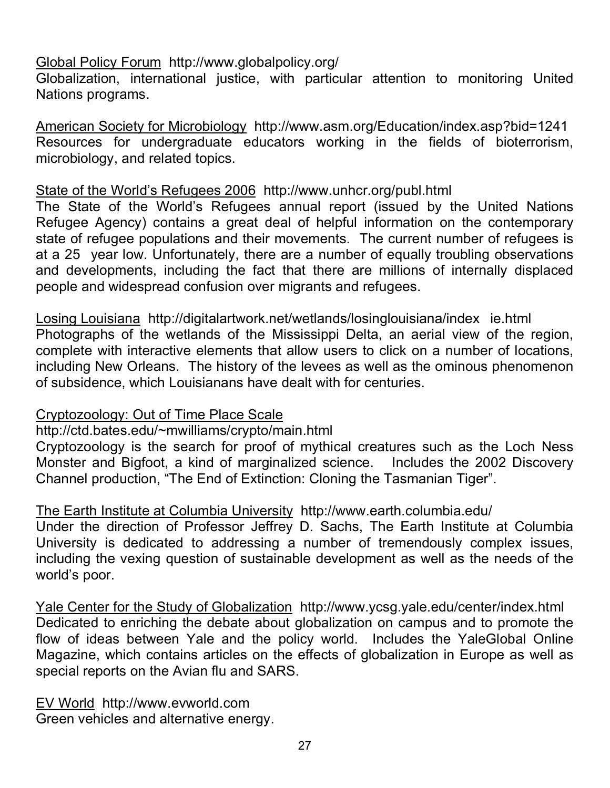#### Global Policy Forum http://www.globalpolicy.org/

Globalization, international justice, with particular attention to monitoring United Nations programs.

American Society for Microbiology http://www.asm.org/Education/index.asp?bid=1241 Resources for undergraduate educators working in the fields of bioterrorism, microbiology, and related topics.

#### State of the World's Refugees 2006 http://www.unhcr.org/publ.html

The State of the World's Refugees annual report (issued by the United Nations Refugee Agency) contains a great deal of helpful information on the contemporary state of refugee populations and their movements. The current number of refugees is at a 25 year low. Unfortunately, there are a number of equally troubling observations and developments, including the fact that there are millions of internally displaced people and widespread confusion over migrants and refugees.

Losing Louisiana http://digitalartwork.net/wetlands/losinglouisiana/index ie.html Photographs of the wetlands of the Mississippi Delta, an aerial view of the region, complete with interactive elements that allow users to click on a number of locations, including New Orleans. The history of the levees as well as the ominous phenomenon of subsidence, which Louisianans have dealt with for centuries.

#### Cryptozoology: Out of Time Place Scale

### http://ctd.bates.edu/~mwilliams/crypto/main.html

Cryptozoology is the search for proof of mythical creatures such as the Loch Ness Monster and Bigfoot, a kind of marginalized science. Includes the 2002 Discovery Channel production, "The End of Extinction: Cloning the Tasmanian Tiger".

#### The Earth Institute at Columbia University http://www.earth.columbia.edu/

Under the direction of Professor Jeffrey D. Sachs, The Earth Institute at Columbia University is dedicated to addressing a number of tremendously complex issues, including the vexing question of sustainable development as well as the needs of the world's poor.

Yale Center for the Study of Globalization http://www.ycsg.yale.edu/center/index.html Dedicated to enriching the debate about globalization on campus and to promote the flow of ideas between Yale and the policy world. Includes the YaleGlobal Online Magazine, which contains articles on the effects of globalization in Europe as well as special reports on the Avian flu and SARS.

EV World http://www.evworld.com Green vehicles and alternative energy.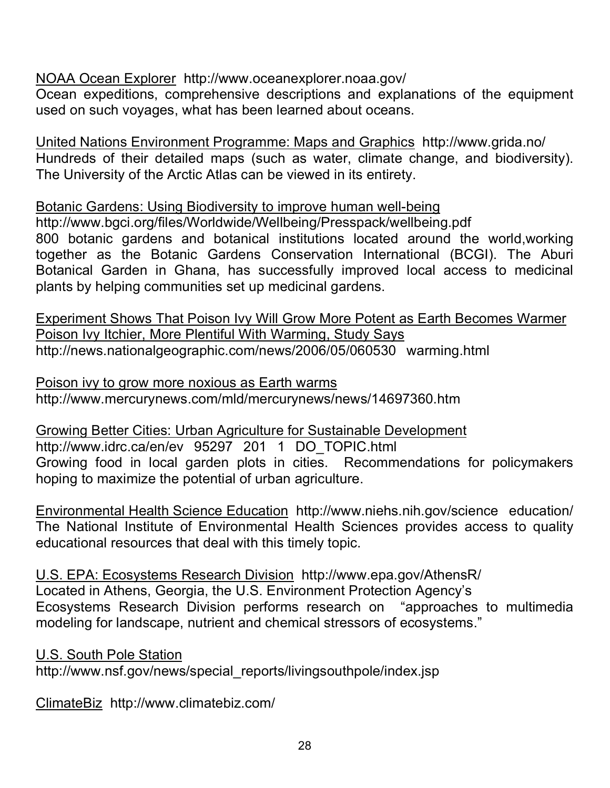#### NOAA Ocean Explorer http://www.oceanexplorer.noaa.gov/

Ocean expeditions, comprehensive descriptions and explanations of the equipment used on such voyages, what has been learned about oceans.

United Nations Environment Programme: Maps and Graphics http://www.grida.no/ Hundreds of their detailed maps (such as water, climate change, and biodiversity). The University of the Arctic Atlas can be viewed in its entirety.

Botanic Gardens: Using Biodiversity to improve human well-being http://www.bgci.org/files/Worldwide/Wellbeing/Presspack/wellbeing.pdf 800 botanic gardens and botanical institutions located around the world,working together as the Botanic Gardens Conservation International (BCGI). The Aburi Botanical Garden in Ghana, has successfully improved local access to medicinal plants by helping communities set up medicinal gardens.

Experiment Shows That Poison Ivy Will Grow More Potent as Earth Becomes Warmer Poison Ivy Itchier, More Plentiful With Warming, Study Says http://news.nationalgeographic.com/news/2006/05/060530 warming.html

Poison ivy to grow more noxious as Earth warms http://www.mercurynews.com/mld/mercurynews/news/14697360.htm

Growing Better Cities: Urban Agriculture for Sustainable Development http://www.idrc.ca/en/ev 95297 201 1 DO\_TOPIC.html Growing food in local garden plots in cities. Recommendations for policymakers hoping to maximize the potential of urban agriculture.

Environmental Health Science Education http://www.niehs.nih.gov/science education/ The National Institute of Environmental Health Sciences provides access to quality educational resources that deal with this timely topic.

U.S. EPA: Ecosystems Research Division http://www.epa.gov/AthensR/ Located in Athens, Georgia, the U.S. Environment Protection Agency's Ecosystems Research Division performs research on "approaches to multimedia modeling for landscape, nutrient and chemical stressors of ecosystems."

U.S. South Pole Station http://www.nsf.gov/news/special\_reports/livingsouthpole/index.jsp

ClimateBiz http://www.climatebiz.com/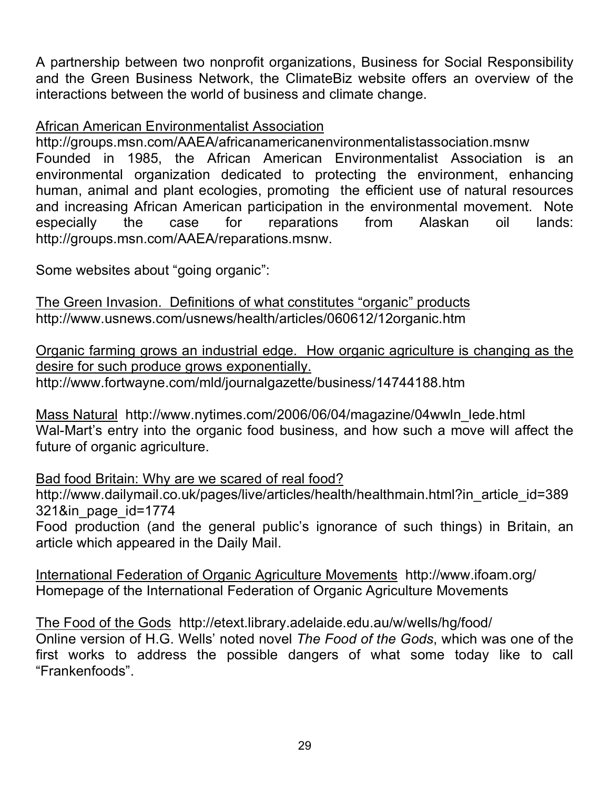A partnership between two nonprofit organizations, Business for Social Responsibility and the Green Business Network, the ClimateBiz website offers an overview of the interactions between the world of business and climate change.

#### African American Environmentalist Association

http://groups.msn.com/AAEA/africanamericanenvironmentalistassociation.msnw Founded in 1985, the African American Environmentalist Association is an environmental organization dedicated to protecting the environment, enhancing human, animal and plant ecologies, promoting the efficient use of natural resources and increasing African American participation in the environmental movement. Note especially the case for reparations from Alaskan oil lands: http://groups.msn.com/AAEA/reparations.msnw.

Some websites about "going organic":

The Green Invasion. Definitions of what constitutes "organic" products http://www.usnews.com/usnews/health/articles/060612/12organic.htm

Organic farming grows an industrial edge. How organic agriculture is changing as the desire for such produce grows exponentially. http://www.fortwayne.com/mld/journalgazette/business/14744188.htm

Mass Natural http://www.nytimes.com/2006/06/04/magazine/04wwln\_lede.html Wal-Mart's entry into the organic food business, and how such a move will affect the future of organic agriculture.

Bad food Britain: Why are we scared of real food? http://www.dailymail.co.uk/pages/live/articles/health/healthmain.html?in\_article\_id=389 321&in\_page\_id=1774 Food production (and the general public's ignorance of such things) in Britain, an

article which appeared in the Daily Mail.

International Federation of Organic Agriculture Movements http://www.ifoam.org/ Homepage of the International Federation of Organic Agriculture Movements

The Food of the Gods http://etext.library.adelaide.edu.au/w/wells/hg/food/ Online version of H.G. Wells' noted novel *The Food of the Gods*, which was one of the first works to address the possible dangers of what some today like to call "Frankenfoods".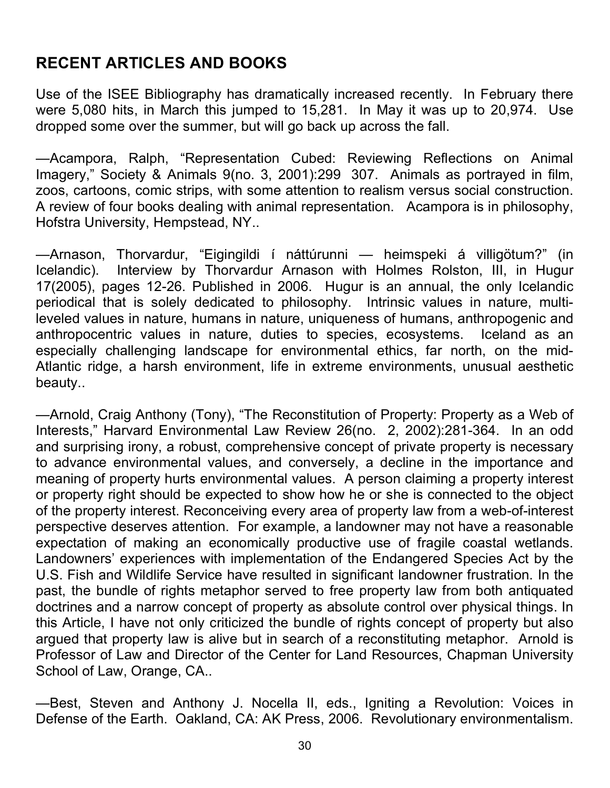## **RECENT ARTICLES AND BOOKS**

Use of the ISEE Bibliography has dramatically increased recently. In February there were 5,080 hits, in March this jumped to 15,281. In May it was up to 20,974. Use dropped some over the summer, but will go back up across the fall.

—Acampora, Ralph, "Representation Cubed: Reviewing Reflections on Animal Imagery," Society & Animals 9(no. 3, 2001):299 307. Animals as portrayed in film, zoos, cartoons, comic strips, with some attention to realism versus social construction. A review of four books dealing with animal representation. Acampora is in philosophy, Hofstra University, Hempstead, NY..

—Arnason, Thorvardur, "Eigingildi í náttúrunni — heimspeki á villigötum?" (in Icelandic). Interview by Thorvardur Arnason with Holmes Rolston, III, in Hugur 17(2005), pages 12-26. Published in 2006. Hugur is an annual, the only Icelandic periodical that is solely dedicated to philosophy. Intrinsic values in nature, multileveled values in nature, humans in nature, uniqueness of humans, anthropogenic and anthropocentric values in nature, duties to species, ecosystems. Iceland as an especially challenging landscape for environmental ethics, far north, on the mid-Atlantic ridge, a harsh environment, life in extreme environments, unusual aesthetic beauty..

—Arnold, Craig Anthony (Tony), "The Reconstitution of Property: Property as a Web of Interests," Harvard Environmental Law Review 26(no. 2, 2002):281-364. In an odd and surprising irony, a robust, comprehensive concept of private property is necessary to advance environmental values, and conversely, a decline in the importance and meaning of property hurts environmental values. A person claiming a property interest or property right should be expected to show how he or she is connected to the object of the property interest. Reconceiving every area of property law from a web-of-interest perspective deserves attention. For example, a landowner may not have a reasonable expectation of making an economically productive use of fragile coastal wetlands. Landowners' experiences with implementation of the Endangered Species Act by the U.S. Fish and Wildlife Service have resulted in significant landowner frustration. In the past, the bundle of rights metaphor served to free property law from both antiquated doctrines and a narrow concept of property as absolute control over physical things. In this Article, I have not only criticized the bundle of rights concept of property but also argued that property law is alive but in search of a reconstituting metaphor. Arnold is Professor of Law and Director of the Center for Land Resources, Chapman University School of Law, Orange, CA..

—Best, Steven and Anthony J. Nocella II, eds., Igniting a Revolution: Voices in Defense of the Earth. Oakland, CA: AK Press, 2006. Revolutionary environmentalism.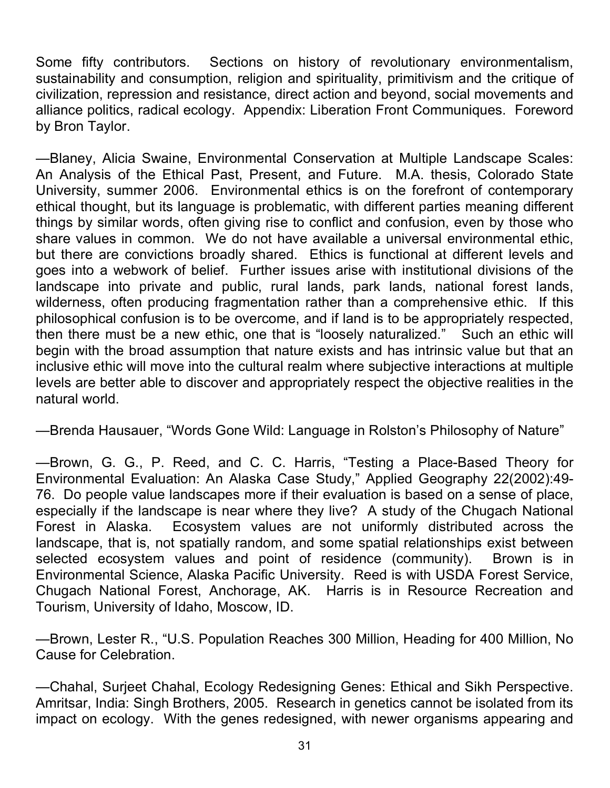Some fifty contributors. Sections on history of revolutionary environmentalism, sustainability and consumption, religion and spirituality, primitivism and the critique of civilization, repression and resistance, direct action and beyond, social movements and alliance politics, radical ecology. Appendix: Liberation Front Communiques. Foreword by Bron Taylor.

—Blaney, Alicia Swaine, Environmental Conservation at Multiple Landscape Scales: An Analysis of the Ethical Past, Present, and Future. M.A. thesis, Colorado State University, summer 2006. Environmental ethics is on the forefront of contemporary ethical thought, but its language is problematic, with different parties meaning different things by similar words, often giving rise to conflict and confusion, even by those who share values in common. We do not have available a universal environmental ethic, but there are convictions broadly shared. Ethics is functional at different levels and goes into a webwork of belief. Further issues arise with institutional divisions of the landscape into private and public, rural lands, park lands, national forest lands, wilderness, often producing fragmentation rather than a comprehensive ethic. If this philosophical confusion is to be overcome, and if land is to be appropriately respected, then there must be a new ethic, one that is "loosely naturalized." Such an ethic will begin with the broad assumption that nature exists and has intrinsic value but that an inclusive ethic will move into the cultural realm where subjective interactions at multiple levels are better able to discover and appropriately respect the objective realities in the natural world.

—Brenda Hausauer, "Words Gone Wild: Language in Rolston's Philosophy of Nature"

—Brown, G. G., P. Reed, and C. C. Harris, "Testing a Place-Based Theory for Environmental Evaluation: An Alaska Case Study," Applied Geography 22(2002):49- 76. Do people value landscapes more if their evaluation is based on a sense of place, especially if the landscape is near where they live? A study of the Chugach National Forest in Alaska. Ecosystem values are not uniformly distributed across the landscape, that is, not spatially random, and some spatial relationships exist between selected ecosystem values and point of residence (community). Brown is in Environmental Science, Alaska Pacific University. Reed is with USDA Forest Service, Chugach National Forest, Anchorage, AK. Harris is in Resource Recreation and Tourism, University of Idaho, Moscow, ID.

—Brown, Lester R., "U.S. Population Reaches 300 Million, Heading for 400 Million, No Cause for Celebration.

—Chahal, Surjeet Chahal, Ecology Redesigning Genes: Ethical and Sikh Perspective. Amritsar, India: Singh Brothers, 2005. Research in genetics cannot be isolated from its impact on ecology. With the genes redesigned, with newer organisms appearing and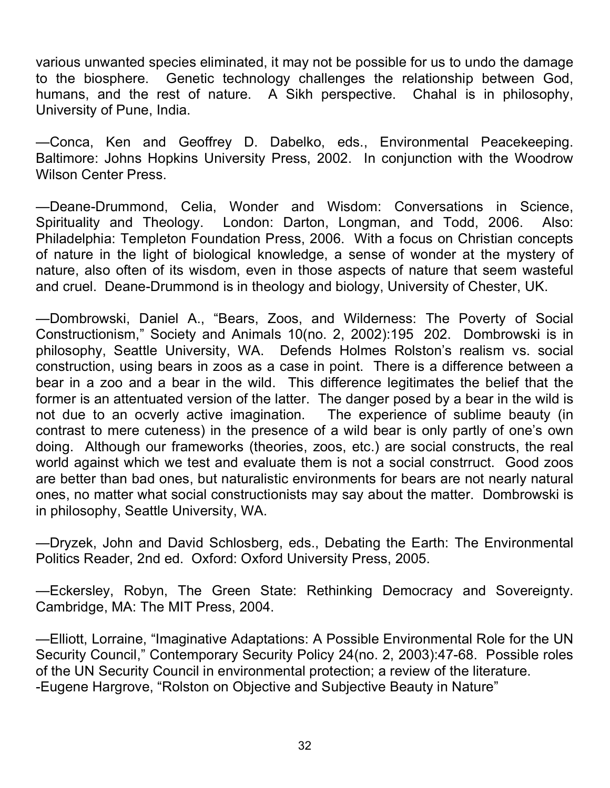various unwanted species eliminated, it may not be possible for us to undo the damage to the biosphere. Genetic technology challenges the relationship between God, humans, and the rest of nature. A Sikh perspective. Chahal is in philosophy, University of Pune, India.

—Conca, Ken and Geoffrey D. Dabelko, eds., Environmental Peacekeeping. Baltimore: Johns Hopkins University Press, 2002. In conjunction with the Woodrow Wilson Center Press.

—Deane-Drummond, Celia, Wonder and Wisdom: Conversations in Science, Spirituality and Theology. London: Darton, Longman, and Todd, 2006. Also: Philadelphia: Templeton Foundation Press, 2006. With a focus on Christian concepts of nature in the light of biological knowledge, a sense of wonder at the mystery of nature, also often of its wisdom, even in those aspects of nature that seem wasteful and cruel. Deane-Drummond is in theology and biology, University of Chester, UK.

—Dombrowski, Daniel A., "Bears, Zoos, and Wilderness: The Poverty of Social Constructionism," Society and Animals 10(no. 2, 2002):195 202. Dombrowski is in philosophy, Seattle University, WA. Defends Holmes Rolston's realism vs. social construction, using bears in zoos as a case in point. There is a difference between a bear in a zoo and a bear in the wild. This difference legitimates the belief that the former is an attentuated version of the latter. The danger posed by a bear in the wild is not due to an ocverly active imagination. The experience of sublime beauty (in contrast to mere cuteness) in the presence of a wild bear is only partly of one's own doing. Although our frameworks (theories, zoos, etc.) are social constructs, the real world against which we test and evaluate them is not a social constrruct. Good zoos are better than bad ones, but naturalistic environments for bears are not nearly natural ones, no matter what social constructionists may say about the matter. Dombrowski is in philosophy, Seattle University, WA.

—Dryzek, John and David Schlosberg, eds., Debating the Earth: The Environmental Politics Reader, 2nd ed. Oxford: Oxford University Press, 2005.

—Eckersley, Robyn, The Green State: Rethinking Democracy and Sovereignty. Cambridge, MA: The MIT Press, 2004.

—Elliott, Lorraine, "Imaginative Adaptations: A Possible Environmental Role for the UN Security Council," Contemporary Security Policy 24(no. 2, 2003):47-68. Possible roles of the UN Security Council in environmental protection; a review of the literature. -Eugene Hargrove, "Rolston on Objective and Subjective Beauty in Nature"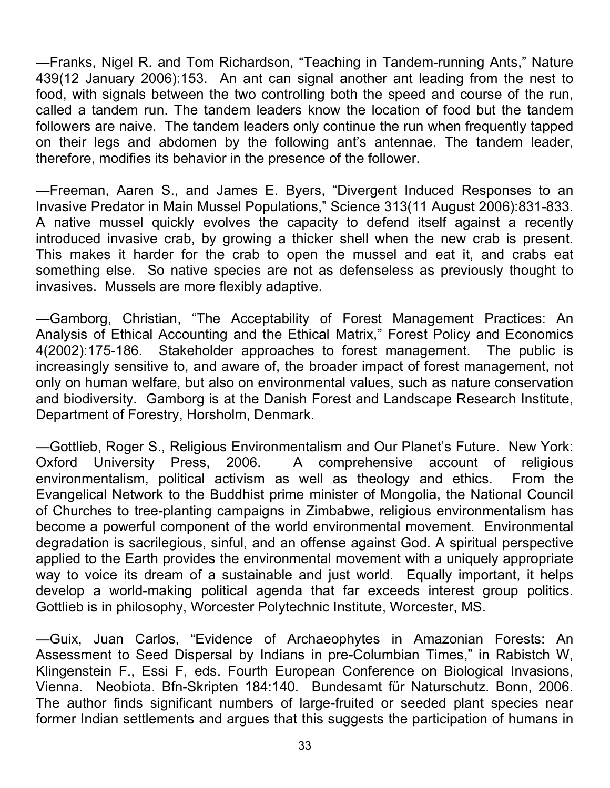—Franks, Nigel R. and Tom Richardson, "Teaching in Tandem-running Ants," Nature 439(12 January 2006):153. An ant can signal another ant leading from the nest to food, with signals between the two controlling both the speed and course of the run, called a tandem run. The tandem leaders know the location of food but the tandem followers are naive. The tandem leaders only continue the run when frequently tapped on their legs and abdomen by the following ant's antennae. The tandem leader, therefore, modifies its behavior in the presence of the follower.

—Freeman, Aaren S., and James E. Byers, "Divergent Induced Responses to an Invasive Predator in Main Mussel Populations," Science 313(11 August 2006):831-833. A native mussel quickly evolves the capacity to defend itself against a recently introduced invasive crab, by growing a thicker shell when the new crab is present. This makes it harder for the crab to open the mussel and eat it, and crabs eat something else. So native species are not as defenseless as previously thought to invasives. Mussels are more flexibly adaptive.

—Gamborg, Christian, "The Acceptability of Forest Management Practices: An Analysis of Ethical Accounting and the Ethical Matrix," Forest Policy and Economics 4(2002):175-186. Stakeholder approaches to forest management. The public is increasingly sensitive to, and aware of, the broader impact of forest management, not only on human welfare, but also on environmental values, such as nature conservation and biodiversity. Gamborg is at the Danish Forest and Landscape Research Institute, Department of Forestry, Horsholm, Denmark.

—Gottlieb, Roger S., Religious Environmentalism and Our Planet's Future. New York: Oxford University Press, 2006. A comprehensive account of religious environmentalism, political activism as well as theology and ethics. From the Evangelical Network to the Buddhist prime minister of Mongolia, the National Council of Churches to tree-planting campaigns in Zimbabwe, religious environmentalism has become a powerful component of the world environmental movement. Environmental degradation is sacrilegious, sinful, and an offense against God. A spiritual perspective applied to the Earth provides the environmental movement with a uniquely appropriate way to voice its dream of a sustainable and just world. Equally important, it helps develop a world-making political agenda that far exceeds interest group politics. Gottlieb is in philosophy, Worcester Polytechnic Institute, Worcester, MS.

—Guix, Juan Carlos, "Evidence of Archaeophytes in Amazonian Forests: An Assessment to Seed Dispersal by Indians in pre-Columbian Times," in Rabistch W, Klingenstein F., Essi F, eds. Fourth European Conference on Biological Invasions, Vienna. Neobiota. Bfn-Skripten 184:140. Bundesamt für Naturschutz. Bonn, 2006. The author finds significant numbers of large-fruited or seeded plant species near former Indian settlements and argues that this suggests the participation of humans in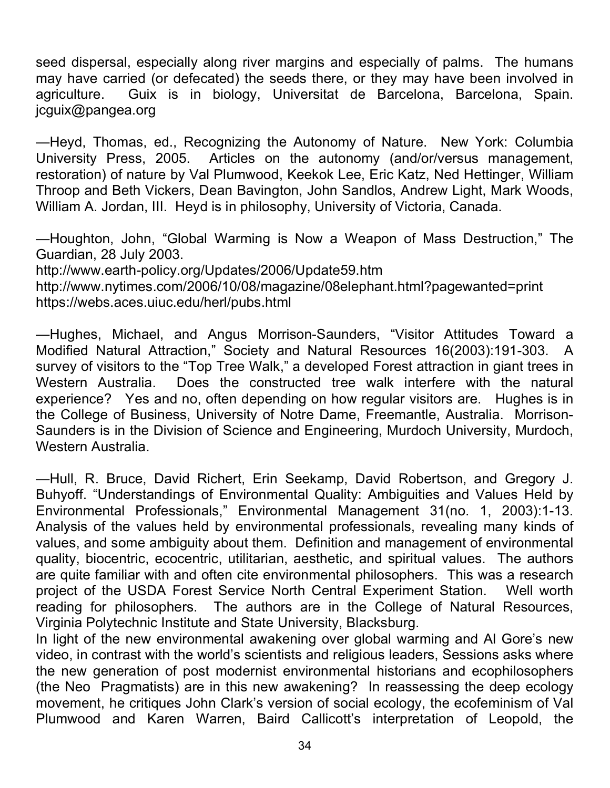seed dispersal, especially along river margins and especially of palms. The humans may have carried (or defecated) the seeds there, or they may have been involved in agriculture. Guix is in biology, Universitat de Barcelona, Barcelona, Spain. jcguix@pangea.org

—Heyd, Thomas, ed., Recognizing the Autonomy of Nature. New York: Columbia University Press, 2005. Articles on the autonomy (and/or/versus management, restoration) of nature by Val Plumwood, Keekok Lee, Eric Katz, Ned Hettinger, William Throop and Beth Vickers, Dean Bavington, John Sandlos, Andrew Light, Mark Woods, William A. Jordan, III. Heyd is in philosophy, University of Victoria, Canada.

—Houghton, John, "Global Warming is Now a Weapon of Mass Destruction," The Guardian, 28 July 2003.

http://www.earth-policy.org/Updates/2006/Update59.htm http://www.nytimes.com/2006/10/08/magazine/08elephant.html?pagewanted=print https://webs.aces.uiuc.edu/herl/pubs.html

—Hughes, Michael, and Angus Morrison-Saunders, "Visitor Attitudes Toward a Modified Natural Attraction," Society and Natural Resources 16(2003):191-303. A survey of visitors to the "Top Tree Walk," a developed Forest attraction in giant trees in Western Australia. Does the constructed tree walk interfere with the natural experience? Yes and no, often depending on how regular visitors are. Hughes is in the College of Business, University of Notre Dame, Freemantle, Australia. Morrison-Saunders is in the Division of Science and Engineering, Murdoch University, Murdoch, Western Australia.

—Hull, R. Bruce, David Richert, Erin Seekamp, David Robertson, and Gregory J. Buhyoff. "Understandings of Environmental Quality: Ambiguities and Values Held by Environmental Professionals," Environmental Management 31(no. 1, 2003):1-13. Analysis of the values held by environmental professionals, revealing many kinds of values, and some ambiguity about them. Definition and management of environmental quality, biocentric, ecocentric, utilitarian, aesthetic, and spiritual values. The authors are quite familiar with and often cite environmental philosophers. This was a research project of the USDA Forest Service North Central Experiment Station. Well worth reading for philosophers. The authors are in the College of Natural Resources, Virginia Polytechnic Institute and State University, Blacksburg.

In light of the new environmental awakening over global warming and Al Gore's new video, in contrast with the world's scientists and religious leaders, Sessions asks where the new generation of post modernist environmental historians and ecophilosophers (the Neo Pragmatists) are in this new awakening? In reassessing the deep ecology movement, he critiques John Clark's version of social ecology, the ecofeminism of Val Plumwood and Karen Warren, Baird Callicott's interpretation of Leopold, the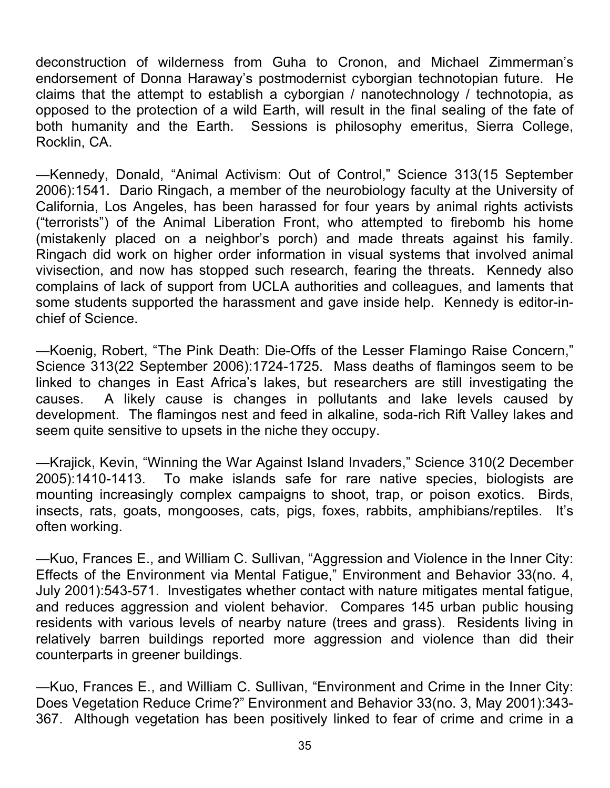deconstruction of wilderness from Guha to Cronon, and Michael Zimmerman's endorsement of Donna Haraway's postmodernist cyborgian technotopian future. He claims that the attempt to establish a cyborgian / nanotechnology / technotopia, as opposed to the protection of a wild Earth, will result in the final sealing of the fate of both humanity and the Earth. Sessions is philosophy emeritus, Sierra College, Rocklin, CA.

—Kennedy, Donald, "Animal Activism: Out of Control," Science 313(15 September 2006):1541. Dario Ringach, a member of the neurobiology faculty at the University of California, Los Angeles, has been harassed for four years by animal rights activists ("terrorists") of the Animal Liberation Front, who attempted to firebomb his home (mistakenly placed on a neighbor's porch) and made threats against his family. Ringach did work on higher order information in visual systems that involved animal vivisection, and now has stopped such research, fearing the threats. Kennedy also complains of lack of support from UCLA authorities and colleagues, and laments that some students supported the harassment and gave inside help. Kennedy is editor-inchief of Science.

—Koenig, Robert, "The Pink Death: Die-Offs of the Lesser Flamingo Raise Concern," Science 313(22 September 2006):1724-1725. Mass deaths of flamingos seem to be linked to changes in East Africa's lakes, but researchers are still investigating the causes. A likely cause is changes in pollutants and lake levels caused by development. The flamingos nest and feed in alkaline, soda-rich Rift Valley lakes and seem quite sensitive to upsets in the niche they occupy.

—Krajick, Kevin, "Winning the War Against Island Invaders," Science 310(2 December 2005):1410-1413. To make islands safe for rare native species, biologists are mounting increasingly complex campaigns to shoot, trap, or poison exotics. Birds, insects, rats, goats, mongooses, cats, pigs, foxes, rabbits, amphibians/reptiles. It's often working.

—Kuo, Frances E., and William C. Sullivan, "Aggression and Violence in the Inner City: Effects of the Environment via Mental Fatigue," Environment and Behavior 33(no. 4, July 2001):543-571. Investigates whether contact with nature mitigates mental fatigue, and reduces aggression and violent behavior. Compares 145 urban public housing residents with various levels of nearby nature (trees and grass). Residents living in relatively barren buildings reported more aggression and violence than did their counterparts in greener buildings.

—Kuo, Frances E., and William C. Sullivan, "Environment and Crime in the Inner City: Does Vegetation Reduce Crime?" Environment and Behavior 33(no. 3, May 2001):343- 367. Although vegetation has been positively linked to fear of crime and crime in a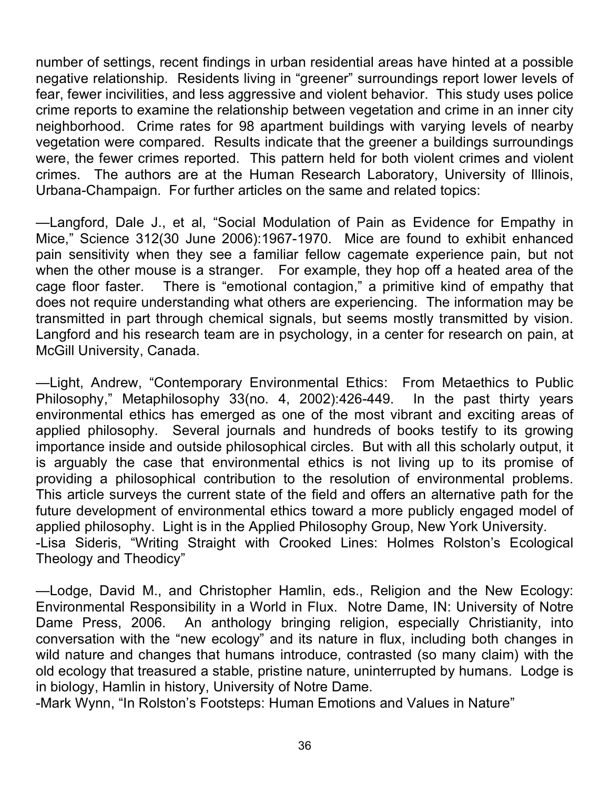number of settings, recent findings in urban residential areas have hinted at a possible negative relationship. Residents living in "greener" surroundings report lower levels of fear, fewer incivilities, and less aggressive and violent behavior. This study uses police crime reports to examine the relationship between vegetation and crime in an inner city neighborhood. Crime rates for 98 apartment buildings with varying levels of nearby vegetation were compared. Results indicate that the greener a buildings surroundings were, the fewer crimes reported. This pattern held for both violent crimes and violent crimes. The authors are at the Human Research Laboratory, University of Illinois, Urbana-Champaign. For further articles on the same and related topics:

—Langford, Dale J., et al, "Social Modulation of Pain as Evidence for Empathy in Mice," Science 312(30 June 2006):1967-1970. Mice are found to exhibit enhanced pain sensitivity when they see a familiar fellow cagemate experience pain, but not when the other mouse is a stranger. For example, they hop off a heated area of the cage floor faster. There is "emotional contagion," a primitive kind of empathy that does not require understanding what others are experiencing. The information may be transmitted in part through chemical signals, but seems mostly transmitted by vision. Langford and his research team are in psychology, in a center for research on pain, at McGill University, Canada.

—Light, Andrew, "Contemporary Environmental Ethics: From Metaethics to Public Philosophy," Metaphilosophy 33(no. 4, 2002):426-449. In the past thirty years environmental ethics has emerged as one of the most vibrant and exciting areas of applied philosophy. Several journals and hundreds of books testify to its growing importance inside and outside philosophical circles. But with all this scholarly output, it is arguably the case that environmental ethics is not living up to its promise of providing a philosophical contribution to the resolution of environmental problems. This article surveys the current state of the field and offers an alternative path for the future development of environmental ethics toward a more publicly engaged model of applied philosophy. Light is in the Applied Philosophy Group, New York University. -Lisa Sideris, "Writing Straight with Crooked Lines: Holmes Rolston's Ecological Theology and Theodicy"

—Lodge, David M., and Christopher Hamlin, eds., Religion and the New Ecology: Environmental Responsibility in a World in Flux. Notre Dame, IN: University of Notre Dame Press, 2006. An anthology bringing religion, especially Christianity, into conversation with the "new ecology" and its nature in flux, including both changes in wild nature and changes that humans introduce, contrasted (so many claim) with the old ecology that treasured a stable, pristine nature, uninterrupted by humans. Lodge is in biology, Hamlin in history, University of Notre Dame.

-Mark Wynn, "In Rolston's Footsteps: Human Emotions and Values in Nature"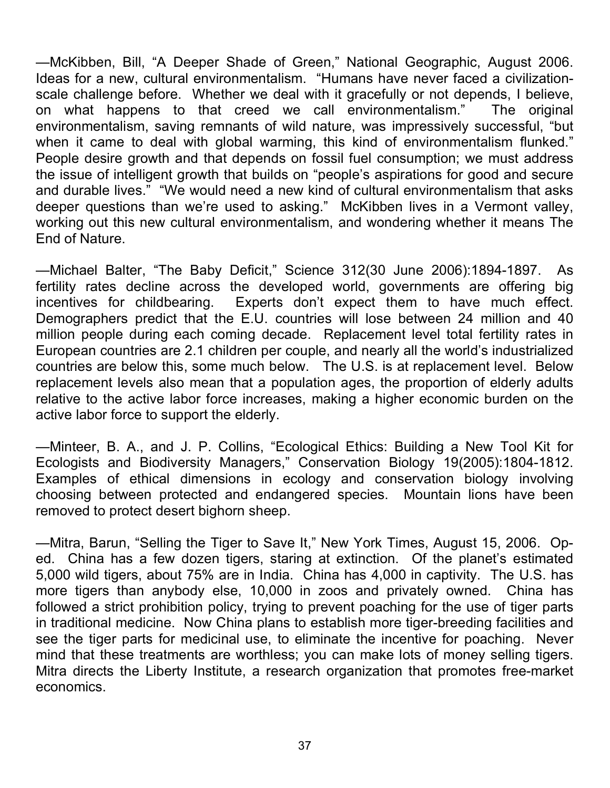—McKibben, Bill, "A Deeper Shade of Green," National Geographic, August 2006. Ideas for a new, cultural environmentalism. "Humans have never faced a civilizationscale challenge before. Whether we deal with it gracefully or not depends, I believe, on what happens to that creed we call environmentalism." The original environmentalism, saving remnants of wild nature, was impressively successful, "but when it came to deal with global warming, this kind of environmentalism flunked." People desire growth and that depends on fossil fuel consumption; we must address the issue of intelligent growth that builds on "people's aspirations for good and secure and durable lives." "We would need a new kind of cultural environmentalism that asks deeper questions than we're used to asking." McKibben lives in a Vermont valley, working out this new cultural environmentalism, and wondering whether it means The End of Nature.

—Michael Balter, "The Baby Deficit," Science 312(30 June 2006):1894-1897. As fertility rates decline across the developed world, governments are offering big incentives for childbearing. Experts don't expect them to have much effect. Demographers predict that the E.U. countries will lose between 24 million and 40 million people during each coming decade. Replacement level total fertility rates in European countries are 2.1 children per couple, and nearly all the world's industrialized countries are below this, some much below. The U.S. is at replacement level. Below replacement levels also mean that a population ages, the proportion of elderly adults relative to the active labor force increases, making a higher economic burden on the active labor force to support the elderly.

—Minteer, B. A., and J. P. Collins, "Ecological Ethics: Building a New Tool Kit for Ecologists and Biodiversity Managers," Conservation Biology 19(2005):1804-1812. Examples of ethical dimensions in ecology and conservation biology involving choosing between protected and endangered species. Mountain lions have been removed to protect desert bighorn sheep.

—Mitra, Barun, "Selling the Tiger to Save It," New York Times, August 15, 2006. Oped. China has a few dozen tigers, staring at extinction. Of the planet's estimated 5,000 wild tigers, about 75% are in India. China has 4,000 in captivity. The U.S. has more tigers than anybody else, 10,000 in zoos and privately owned. China has followed a strict prohibition policy, trying to prevent poaching for the use of tiger parts in traditional medicine. Now China plans to establish more tiger-breeding facilities and see the tiger parts for medicinal use, to eliminate the incentive for poaching. Never mind that these treatments are worthless; you can make lots of money selling tigers. Mitra directs the Liberty Institute, a research organization that promotes free-market economics.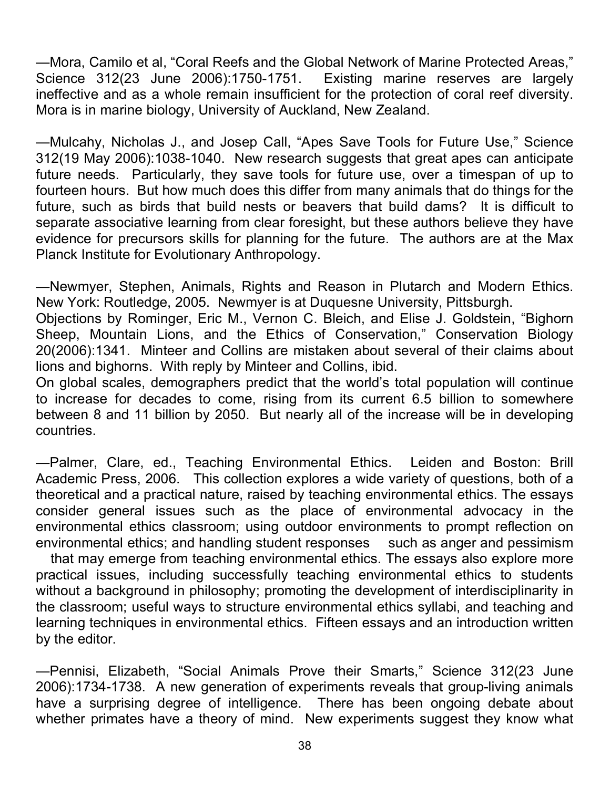—Mora, Camilo et al, "Coral Reefs and the Global Network of Marine Protected Areas," Science 312(23 June 2006):1750-1751. Existing marine reserves are largely ineffective and as a whole remain insufficient for the protection of coral reef diversity. Mora is in marine biology, University of Auckland, New Zealand.

—Mulcahy, Nicholas J., and Josep Call, "Apes Save Tools for Future Use," Science 312(19 May 2006):1038-1040. New research suggests that great apes can anticipate future needs. Particularly, they save tools for future use, over a timespan of up to fourteen hours. But how much does this differ from many animals that do things for the future, such as birds that build nests or beavers that build dams? It is difficult to separate associative learning from clear foresight, but these authors believe they have evidence for precursors skills for planning for the future. The authors are at the Max Planck Institute for Evolutionary Anthropology.

—Newmyer, Stephen, Animals, Rights and Reason in Plutarch and Modern Ethics. New York: Routledge, 2005. Newmyer is at Duquesne University, Pittsburgh.

Objections by Rominger, Eric M., Vernon C. Bleich, and Elise J. Goldstein, "Bighorn Sheep, Mountain Lions, and the Ethics of Conservation," Conservation Biology 20(2006):1341. Minteer and Collins are mistaken about several of their claims about lions and bighorns. With reply by Minteer and Collins, ibid.

On global scales, demographers predict that the world's total population will continue to increase for decades to come, rising from its current 6.5 billion to somewhere between 8 and 11 billion by 2050. But nearly all of the increase will be in developing countries.

—Palmer, Clare, ed., Teaching Environmental Ethics. Leiden and Boston: Brill Academic Press, 2006. This collection explores a wide variety of questions, both of a theoretical and a practical nature, raised by teaching environmental ethics. The essays consider general issues such as the place of environmental advocacy in the environmental ethics classroom; using outdoor environments to prompt reflection on environmental ethics; and handling student responses such as anger and pessimism

 that may emerge from teaching environmental ethics. The essays also explore more practical issues, including successfully teaching environmental ethics to students without a background in philosophy; promoting the development of interdisciplinarity in the classroom; useful ways to structure environmental ethics syllabi, and teaching and learning techniques in environmental ethics. Fifteen essays and an introduction written by the editor.

—Pennisi, Elizabeth, "Social Animals Prove their Smarts," Science 312(23 June 2006):1734-1738. A new generation of experiments reveals that group-living animals have a surprising degree of intelligence. There has been ongoing debate about whether primates have a theory of mind. New experiments suggest they know what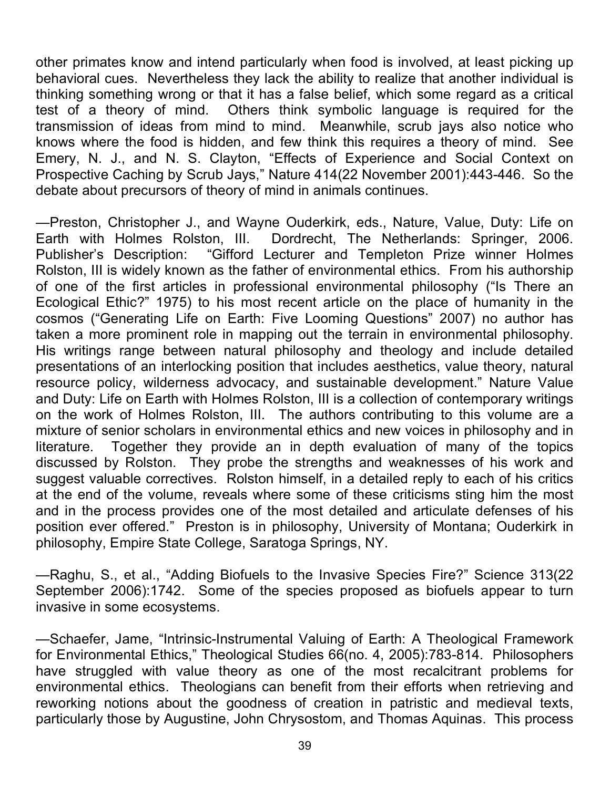other primates know and intend particularly when food is involved, at least picking up behavioral cues. Nevertheless they lack the ability to realize that another individual is thinking something wrong or that it has a false belief, which some regard as a critical test of a theory of mind. Others think symbolic language is required for the transmission of ideas from mind to mind. Meanwhile, scrub jays also notice who knows where the food is hidden, and few think this requires a theory of mind. See Emery, N. J., and N. S. Clayton, "Effects of Experience and Social Context on Prospective Caching by Scrub Jays," Nature 414(22 November 2001):443-446. So the debate about precursors of theory of mind in animals continues.

—Preston, Christopher J., and Wayne Ouderkirk, eds., Nature, Value, Duty: Life on Earth with Holmes Rolston, III. Dordrecht, The Netherlands: Springer, 2006. Publisher's Description: "Gifford Lecturer and Templeton Prize winner Holmes Rolston, III is widely known as the father of environmental ethics. From his authorship of one of the first articles in professional environmental philosophy ("Is There an Ecological Ethic?" 1975) to his most recent article on the place of humanity in the cosmos ("Generating Life on Earth: Five Looming Questions" 2007) no author has taken a more prominent role in mapping out the terrain in environmental philosophy. His writings range between natural philosophy and theology and include detailed presentations of an interlocking position that includes aesthetics, value theory, natural resource policy, wilderness advocacy, and sustainable development." Nature Value and Duty: Life on Earth with Holmes Rolston, III is a collection of contemporary writings on the work of Holmes Rolston, III. The authors contributing to this volume are a mixture of senior scholars in environmental ethics and new voices in philosophy and in literature. Together they provide an in depth evaluation of many of the topics discussed by Rolston. They probe the strengths and weaknesses of his work and suggest valuable correctives. Rolston himself, in a detailed reply to each of his critics at the end of the volume, reveals where some of these criticisms sting him the most and in the process provides one of the most detailed and articulate defenses of his position ever offered." Preston is in philosophy, University of Montana; Ouderkirk in philosophy, Empire State College, Saratoga Springs, NY.

—Raghu, S., et al., "Adding Biofuels to the Invasive Species Fire?" Science 313(22 September 2006):1742. Some of the species proposed as biofuels appear to turn invasive in some ecosystems.

—Schaefer, Jame, "Intrinsic-Instrumental Valuing of Earth: A Theological Framework for Environmental Ethics," Theological Studies 66(no. 4, 2005):783-814. Philosophers have struggled with value theory as one of the most recalcitrant problems for environmental ethics. Theologians can benefit from their efforts when retrieving and reworking notions about the goodness of creation in patristic and medieval texts, particularly those by Augustine, John Chrysostom, and Thomas Aquinas. This process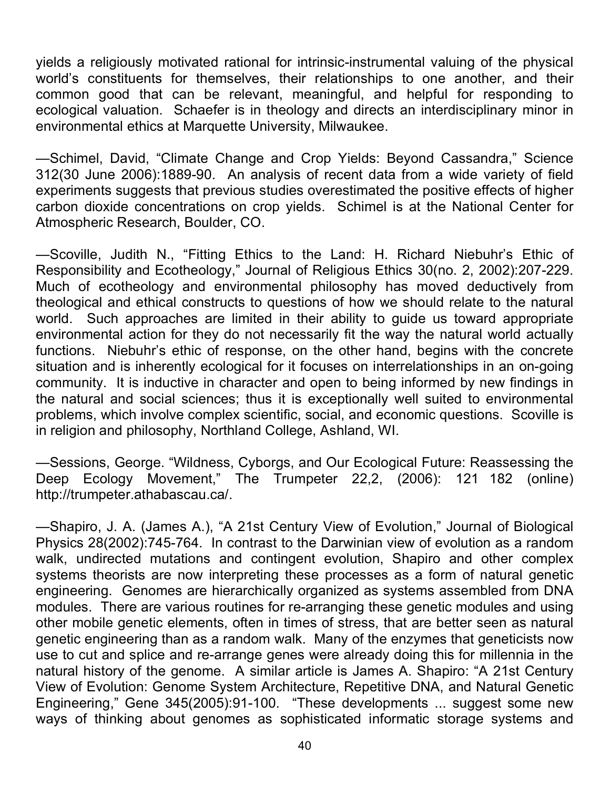yields a religiously motivated rational for intrinsic-instrumental valuing of the physical world's constituents for themselves, their relationships to one another, and their common good that can be relevant, meaningful, and helpful for responding to ecological valuation. Schaefer is in theology and directs an interdisciplinary minor in environmental ethics at Marquette University, Milwaukee.

—Schimel, David, "Climate Change and Crop Yields: Beyond Cassandra," Science 312(30 June 2006):1889-90. An analysis of recent data from a wide variety of field experiments suggests that previous studies overestimated the positive effects of higher carbon dioxide concentrations on crop yields. Schimel is at the National Center for Atmospheric Research, Boulder, CO.

—Scoville, Judith N., "Fitting Ethics to the Land: H. Richard Niebuhr's Ethic of Responsibility and Ecotheology," Journal of Religious Ethics 30(no. 2, 2002):207-229. Much of ecotheology and environmental philosophy has moved deductively from theological and ethical constructs to questions of how we should relate to the natural world. Such approaches are limited in their ability to guide us toward appropriate environmental action for they do not necessarily fit the way the natural world actually functions. Niebuhr's ethic of response, on the other hand, begins with the concrete situation and is inherently ecological for it focuses on interrelationships in an on-going community. It is inductive in character and open to being informed by new findings in the natural and social sciences; thus it is exceptionally well suited to environmental problems, which involve complex scientific, social, and economic questions. Scoville is in religion and philosophy, Northland College, Ashland, WI.

—Sessions, George. "Wildness, Cyborgs, and Our Ecological Future: Reassessing the Deep Ecology Movement," The Trumpeter 22,2, (2006): 121 182 (online) http://trumpeter.athabascau.ca/.

—Shapiro, J. A. (James A.), "A 21st Century View of Evolution," Journal of Biological Physics 28(2002):745-764. In contrast to the Darwinian view of evolution as a random walk, undirected mutations and contingent evolution, Shapiro and other complex systems theorists are now interpreting these processes as a form of natural genetic engineering. Genomes are hierarchically organized as systems assembled from DNA modules. There are various routines for re-arranging these genetic modules and using other mobile genetic elements, often in times of stress, that are better seen as natural genetic engineering than as a random walk. Many of the enzymes that geneticists now use to cut and splice and re-arrange genes were already doing this for millennia in the natural history of the genome. A similar article is James A. Shapiro: "A 21st Century View of Evolution: Genome System Architecture, Repetitive DNA, and Natural Genetic Engineering," Gene 345(2005):91-100. "These developments ... suggest some new ways of thinking about genomes as sophisticated informatic storage systems and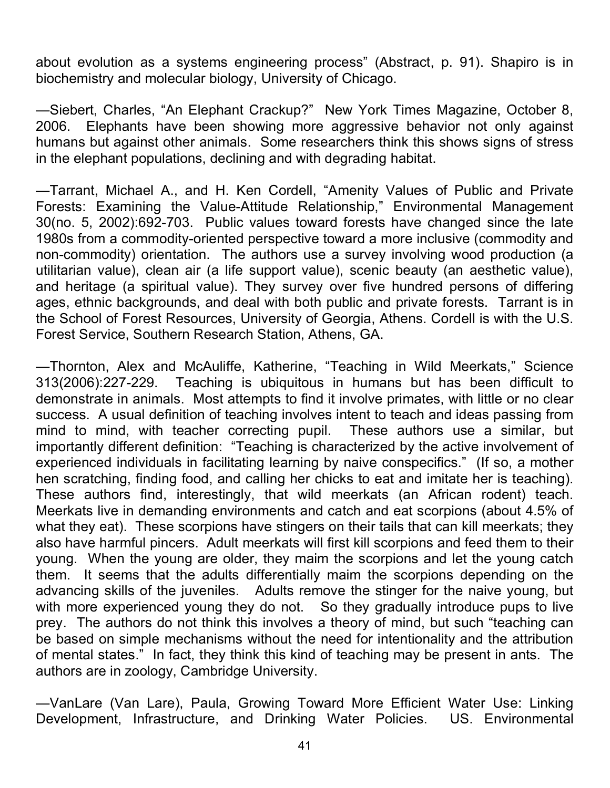about evolution as a systems engineering process" (Abstract, p. 91). Shapiro is in biochemistry and molecular biology, University of Chicago.

—Siebert, Charles, "An Elephant Crackup?" New York Times Magazine, October 8, 2006. Elephants have been showing more aggressive behavior not only against humans but against other animals. Some researchers think this shows signs of stress in the elephant populations, declining and with degrading habitat.

—Tarrant, Michael A., and H. Ken Cordell, "Amenity Values of Public and Private Forests: Examining the Value-Attitude Relationship," Environmental Management 30(no. 5, 2002):692-703. Public values toward forests have changed since the late 1980s from a commodity-oriented perspective toward a more inclusive (commodity and non-commodity) orientation. The authors use a survey involving wood production (a utilitarian value), clean air (a life support value), scenic beauty (an aesthetic value), and heritage (a spiritual value). They survey over five hundred persons of differing ages, ethnic backgrounds, and deal with both public and private forests. Tarrant is in the School of Forest Resources, University of Georgia, Athens. Cordell is with the U.S. Forest Service, Southern Research Station, Athens, GA.

—Thornton, Alex and McAuliffe, Katherine, "Teaching in Wild Meerkats," Science 313(2006):227-229. Teaching is ubiquitous in humans but has been difficult to demonstrate in animals. Most attempts to find it involve primates, with little or no clear success. A usual definition of teaching involves intent to teach and ideas passing from mind to mind, with teacher correcting pupil. These authors use a similar, but importantly different definition: "Teaching is characterized by the active involvement of experienced individuals in facilitating learning by naive conspecifics." (If so, a mother hen scratching, finding food, and calling her chicks to eat and imitate her is teaching). These authors find, interestingly, that wild meerkats (an African rodent) teach. Meerkats live in demanding environments and catch and eat scorpions (about 4.5% of what they eat). These scorpions have stingers on their tails that can kill meerkats; they also have harmful pincers. Adult meerkats will first kill scorpions and feed them to their young. When the young are older, they maim the scorpions and let the young catch them. It seems that the adults differentially maim the scorpions depending on the advancing skills of the juveniles. Adults remove the stinger for the naive young, but with more experienced young they do not. So they gradually introduce pups to live prey. The authors do not think this involves a theory of mind, but such "teaching can be based on simple mechanisms without the need for intentionality and the attribution of mental states." In fact, they think this kind of teaching may be present in ants. The authors are in zoology, Cambridge University.

—VanLare (Van Lare), Paula, Growing Toward More Efficient Water Use: Linking Development, Infrastructure, and Drinking Water Policies. US. Environmental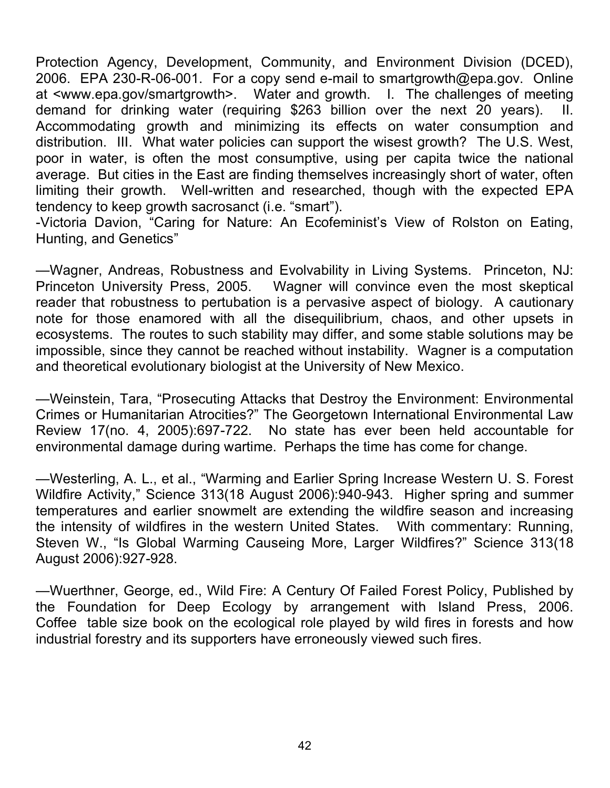Protection Agency, Development, Community, and Environment Division (DCED), 2006. EPA 230-R-06-001. For a copy send e-mail to smartgrowth@epa.gov. Online at <www.epa.gov/smartgrowth>. Water and growth. I. The challenges of meeting demand for drinking water (requiring \$263 billion over the next 20 years). II. Accommodating growth and minimizing its effects on water consumption and distribution. III. What water policies can support the wisest growth? The U.S. West, poor in water, is often the most consumptive, using per capita twice the national average. But cities in the East are finding themselves increasingly short of water, often limiting their growth. Well-written and researched, though with the expected EPA tendency to keep growth sacrosanct (i.e. "smart").

-Victoria Davion, "Caring for Nature: An Ecofeminist's View of Rolston on Eating, Hunting, and Genetics"

—Wagner, Andreas, Robustness and Evolvability in Living Systems. Princeton, NJ: Princeton University Press, 2005. Wagner will convince even the most skeptical reader that robustness to pertubation is a pervasive aspect of biology. A cautionary note for those enamored with all the disequilibrium, chaos, and other upsets in ecosystems. The routes to such stability may differ, and some stable solutions may be impossible, since they cannot be reached without instability. Wagner is a computation and theoretical evolutionary biologist at the University of New Mexico.

—Weinstein, Tara, "Prosecuting Attacks that Destroy the Environment: Environmental Crimes or Humanitarian Atrocities?" The Georgetown International Environmental Law Review 17(no. 4, 2005):697-722. No state has ever been held accountable for environmental damage during wartime. Perhaps the time has come for change.

—Westerling, A. L., et al., "Warming and Earlier Spring Increase Western U. S. Forest Wildfire Activity," Science 313(18 August 2006):940-943. Higher spring and summer temperatures and earlier snowmelt are extending the wildfire season and increasing the intensity of wildfires in the western United States. With commentary: Running, Steven W., "Is Global Warming Causeing More, Larger Wildfires?" Science 313(18 August 2006):927-928.

—Wuerthner, George, ed., Wild Fire: A Century Of Failed Forest Policy, Published by the Foundation for Deep Ecology by arrangement with Island Press, 2006. Coffee table size book on the ecological role played by wild fires in forests and how industrial forestry and its supporters have erroneously viewed such fires.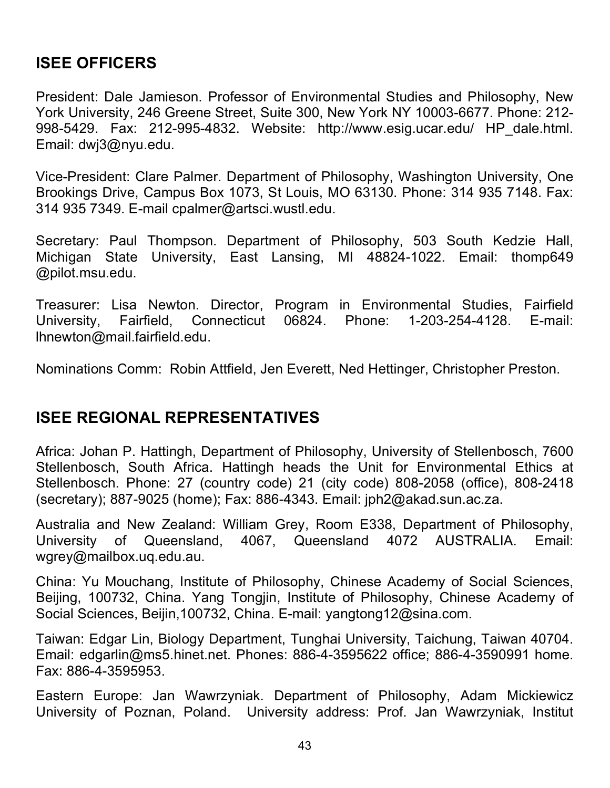## **ISEE OFFICERS**

President: Dale Jamieson. Professor of Environmental Studies and Philosophy, New York University, 246 Greene Street, Suite 300, New York NY 10003-6677. Phone: 212- 998-5429. Fax: 212-995-4832. Website: http://www.esig.ucar.edu/ HP\_dale.html. Email: dwj3@nyu.edu.

Vice-President: Clare Palmer. Department of Philosophy, Washington University, One Brookings Drive, Campus Box 1073, St Louis, MO 63130. Phone: 314 935 7148. Fax: 314 935 7349. E-mail cpalmer@artsci.wustl.edu.

Secretary: Paul Thompson. Department of Philosophy, 503 South Kedzie Hall, Michigan State University, East Lansing, MI 48824-1022. Email: thomp649 @pilot.msu.edu.

Treasurer: Lisa Newton. Director, Program in Environmental Studies, Fairfield University, Fairfield, Connecticut 06824. Phone: 1-203-254-4128. E-mail: lhnewton@mail.fairfield.edu.

Nominations Comm: Robin Attfield, Jen Everett, Ned Hettinger, Christopher Preston.

### **ISEE REGIONAL REPRESENTATIVES**

Africa: Johan P. Hattingh, Department of Philosophy, University of Stellenbosch, 7600 Stellenbosch, South Africa. Hattingh heads the Unit for Environmental Ethics at Stellenbosch. Phone: 27 (country code) 21 (city code) 808-2058 (office), 808-2418 (secretary); 887-9025 (home); Fax: 886-4343. Email: jph2@akad.sun.ac.za.

Australia and New Zealand: William Grey, Room E338, Department of Philosophy, University of Queensland, 4067, Queensland 4072 AUSTRALIA. Email: wgrey@mailbox.uq.edu.au.

China: Yu Mouchang, Institute of Philosophy, Chinese Academy of Social Sciences, Beijing, 100732, China. Yang Tongjin, Institute of Philosophy, Chinese Academy of Social Sciences, Beijin,100732, China. E-mail: yangtong12@sina.com.

Taiwan: Edgar Lin, Biology Department, Tunghai University, Taichung, Taiwan 40704. Email: edgarlin@ms5.hinet.net. Phones: 886-4-3595622 office; 886-4-3590991 home. Fax: 886-4-3595953.

Eastern Europe: Jan Wawrzyniak. Department of Philosophy, Adam Mickiewicz University of Poznan, Poland. University address: Prof. Jan Wawrzyniak, Institut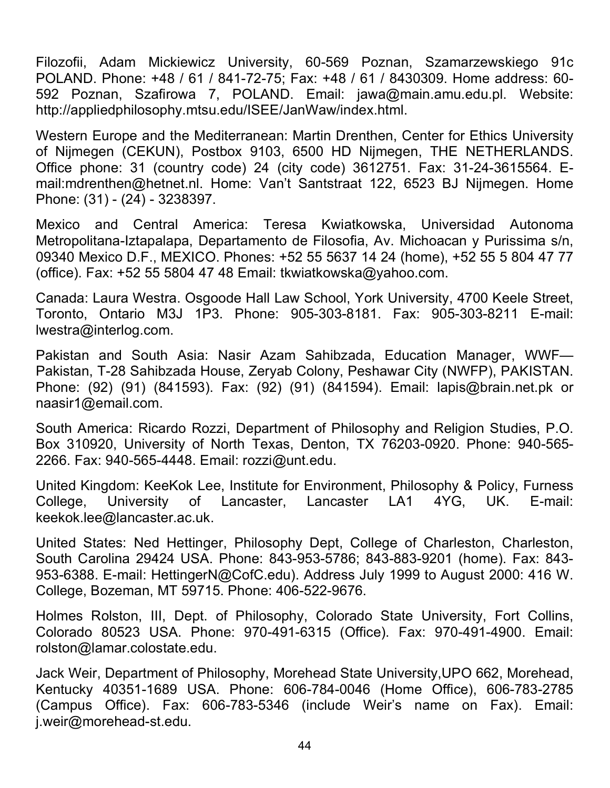Filozofii, Adam Mickiewicz University, 60-569 Poznan, Szamarzewskiego 91c POLAND. Phone: +48 / 61 / 841-72-75; Fax: +48 / 61 / 8430309. Home address: 60- 592 Poznan, Szafirowa 7, POLAND. Email: jawa@main.amu.edu.pl. Website: http://appliedphilosophy.mtsu.edu/ISEE/JanWaw/index.html.

Western Europe and the Mediterranean: Martin Drenthen, Center for Ethics University of Nijmegen (CEKUN), Postbox 9103, 6500 HD Nijmegen, THE NETHERLANDS. Office phone: 31 (country code) 24 (city code) 3612751. Fax: 31-24-3615564. Email:mdrenthen@hetnet.nl. Home: Van't Santstraat 122, 6523 BJ Nijmegen. Home Phone: (31) - (24) - 3238397.

Mexico and Central America: Teresa Kwiatkowska, Universidad Autonoma Metropolitana-Iztapalapa, Departamento de Filosofia, Av. Michoacan y Purissima s/n, 09340 Mexico D.F., MEXICO. Phones: +52 55 5637 14 24 (home), +52 55 5 804 47 77 (office). Fax: +52 55 5804 47 48 Email: tkwiatkowska@yahoo.com.

Canada: Laura Westra. Osgoode Hall Law School, York University, 4700 Keele Street, Toronto, Ontario M3J 1P3. Phone: 905-303-8181. Fax: 905-303-8211 E-mail: lwestra@interlog.com.

Pakistan and South Asia: Nasir Azam Sahibzada, Education Manager, WWF— Pakistan, T-28 Sahibzada House, Zeryab Colony, Peshawar City (NWFP), PAKISTAN. Phone: (92) (91) (841593). Fax: (92) (91) (841594). Email: lapis@brain.net.pk or naasir1@email.com.

South America: Ricardo Rozzi, Department of Philosophy and Religion Studies, P.O. Box 310920, University of North Texas, Denton, TX 76203-0920. Phone: 940-565- 2266. Fax: 940-565-4448. Email: rozzi@unt.edu.

United Kingdom: KeeKok Lee, Institute for Environment, Philosophy & Policy, Furness College, University of Lancaster, Lancaster LA1 4YG, UK. E-mail: keekok.lee@lancaster.ac.uk.

United States: Ned Hettinger, Philosophy Dept, College of Charleston, Charleston, South Carolina 29424 USA. Phone: 843-953-5786; 843-883-9201 (home). Fax: 843- 953-6388. E-mail: HettingerN@CofC.edu). Address July 1999 to August 2000: 416 W. College, Bozeman, MT 59715. Phone: 406-522-9676.

Holmes Rolston, III, Dept. of Philosophy, Colorado State University, Fort Collins, Colorado 80523 USA. Phone: 970-491-6315 (Office). Fax: 970-491-4900. Email: rolston@lamar.colostate.edu.

Jack Weir, Department of Philosophy, Morehead State University,UPO 662, Morehead, Kentucky 40351-1689 USA. Phone: 606-784-0046 (Home Office), 606-783-2785 (Campus Office). Fax: 606-783-5346 (include Weir's name on Fax). Email: j.weir@morehead-st.edu.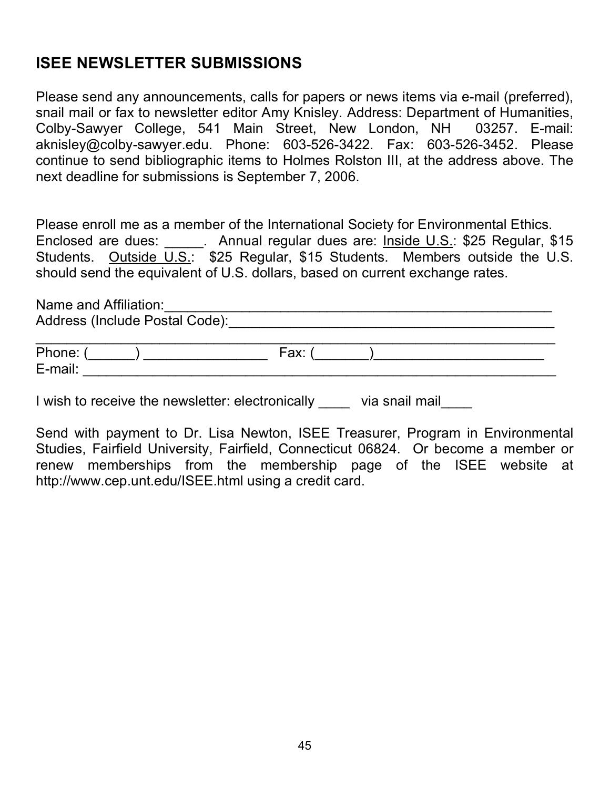## **ISEE NEWSLETTER SUBMISSIONS**

Please send any announcements, calls for papers or news items via e-mail (preferred), snail mail or fax to newsletter editor Amy Knisley. Address: Department of Humanities, Colby-Sawyer College, 541 Main Street, New London, NH 03257. E-mail: aknisley@colby-sawyer.edu. Phone: 603-526-3422. Fax: 603-526-3452. Please continue to send bibliographic items to Holmes Rolston III, at the address above. The next deadline for submissions is September 7, 2006.

Please enroll me as a member of the International Society for Environmental Ethics. Enclosed are dues: ... Annual regular dues are: Inside U.S.: \$25 Regular, \$15 Students. Outside U.S.: \$25 Regular, \$15 Students. Members outside the U.S. should send the equivalent of U.S. dollars, based on current exchange rates.

Name and Affiliation:\_\_\_\_\_\_\_\_\_\_\_\_\_\_\_\_\_\_\_\_\_\_\_\_\_\_\_\_\_\_\_\_\_\_\_\_\_\_\_\_\_\_\_\_\_\_\_\_\_\_ Address (Include Postal Code):\_\_\_\_\_\_\_\_\_\_\_\_\_\_\_\_\_\_\_\_\_\_\_\_\_\_\_\_\_\_\_\_\_\_\_\_\_\_\_\_\_\_  $\mathcal{L}_\text{max}$  , and the contribution of the contribution of the contribution of the contribution of the contribution of the contribution of the contribution of the contribution of the contribution of the contribution of t

Phone: (\_\_\_\_\_\_) \_\_\_\_\_\_\_\_\_\_\_\_\_\_\_\_ Fax: (\_\_\_\_\_\_\_)\_\_\_\_\_\_\_\_\_\_\_\_\_\_\_\_\_\_\_\_\_\_ E-mail: \_\_\_\_\_\_\_\_\_\_\_\_\_\_\_\_\_\_\_\_\_\_\_\_\_\_\_\_\_\_\_\_\_\_\_\_\_\_\_\_\_\_\_\_\_\_\_\_\_\_\_\_\_\_\_\_\_\_\_\_\_

I wish to receive the newsletter: electronically \_\_\_\_\_ via snail mail

Send with payment to Dr. Lisa Newton, ISEE Treasurer, Program in Environmental Studies, Fairfield University, Fairfield, Connecticut 06824. Or become a member or renew memberships from the membership page of the ISEE website at http://www.cep.unt.edu/ISEE.html using a credit card.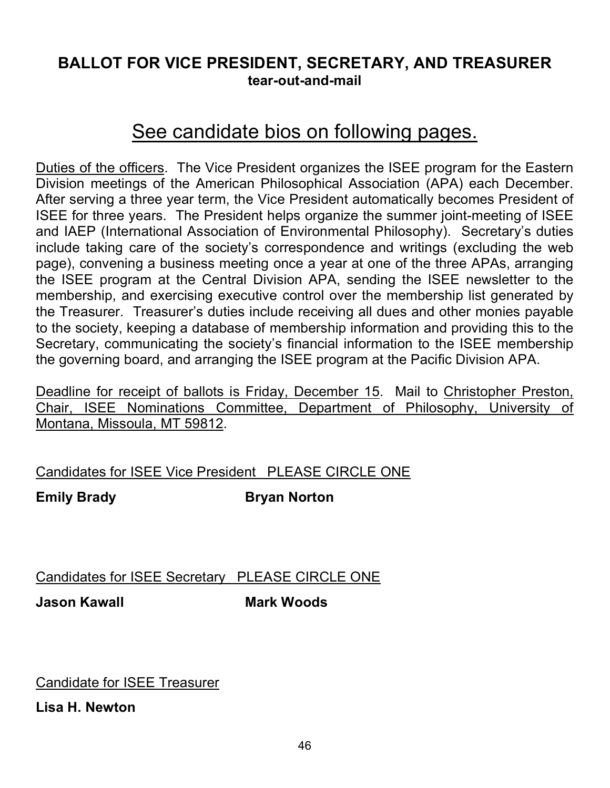## **BALLOT FOR VICE PRESIDENT, SECRETARY, AND TREASURER tear-out-and-mail**

# See candidate bios on following pages.

Duties of the officers. The Vice President organizes the ISEE program for the Eastern Division meetings of the American Philosophical Association (APA) each December. After serving a three year term, the Vice President automatically becomes President of ISEE for three years. The President helps organize the summer joint-meeting of ISEE and IAEP (International Association of Environmental Philosophy). Secretary's duties include taking care of the society's correspondence and writings (excluding the web page), convening a business meeting once a year at one of the three APAs, arranging the ISEE program at the Central Division APA, sending the ISEE newsletter to the membership, and exercising executive control over the membership list generated by the Treasurer. Treasurer's duties include receiving all dues and other monies payable to the society, keeping a database of membership information and providing this to the Secretary, communicating the society's financial information to the ISEE membership the governing board, and arranging the ISEE program at the Pacific Division APA.

Deadline for receipt of ballots is Friday, December 15. Mail to Christopher Preston, Chair, ISEE Nominations Committee, Department of Philosophy, University of Montana, Missoula, MT 59812.

#### Candidates for ISEE Vice President PLEASE CIRCLE ONE

**Emily Brady Bryan Norton**

Candidates for ISEE Secretary PLEASE CIRCLE ONE

**Jason Kawall Mark Woods**

Candidate for ISEE Treasurer

**Lisa H. Newton**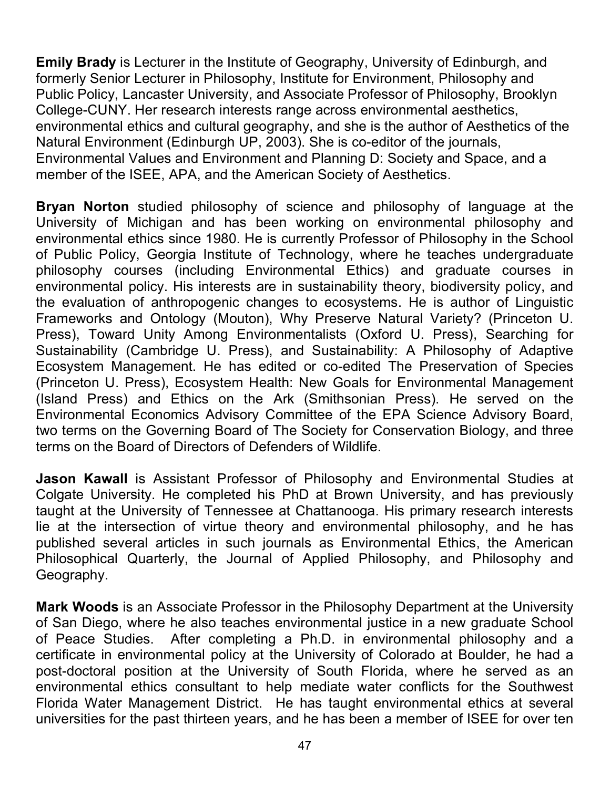**Emily Brady** is Lecturer in the Institute of Geography, University of Edinburgh, and formerly Senior Lecturer in Philosophy, Institute for Environment, Philosophy and Public Policy, Lancaster University, and Associate Professor of Philosophy, Brooklyn College-CUNY. Her research interests range across environmental aesthetics, environmental ethics and cultural geography, and she is the author of Aesthetics of the Natural Environment (Edinburgh UP, 2003). She is co-editor of the journals, Environmental Values and Environment and Planning D: Society and Space, and a member of the ISEE, APA, and the American Society of Aesthetics.

**Bryan Norton** studied philosophy of science and philosophy of language at the University of Michigan and has been working on environmental philosophy and environmental ethics since 1980. He is currently Professor of Philosophy in the School of Public Policy, Georgia Institute of Technology, where he teaches undergraduate philosophy courses (including Environmental Ethics) and graduate courses in environmental policy. His interests are in sustainability theory, biodiversity policy, and the evaluation of anthropogenic changes to ecosystems. He is author of Linguistic Frameworks and Ontology (Mouton), Why Preserve Natural Variety? (Princeton U. Press), Toward Unity Among Environmentalists (Oxford U. Press), Searching for Sustainability (Cambridge U. Press), and Sustainability: A Philosophy of Adaptive Ecosystem Management. He has edited or co-edited The Preservation of Species (Princeton U. Press), Ecosystem Health: New Goals for Environmental Management (Island Press) and Ethics on the Ark (Smithsonian Press). He served on the Environmental Economics Advisory Committee of the EPA Science Advisory Board, two terms on the Governing Board of The Society for Conservation Biology, and three terms on the Board of Directors of Defenders of Wildlife.

**Jason Kawall** is Assistant Professor of Philosophy and Environmental Studies at Colgate University. He completed his PhD at Brown University, and has previously taught at the University of Tennessee at Chattanooga. His primary research interests lie at the intersection of virtue theory and environmental philosophy, and he has published several articles in such journals as Environmental Ethics, the American Philosophical Quarterly, the Journal of Applied Philosophy, and Philosophy and Geography.

**Mark Woods** is an Associate Professor in the Philosophy Department at the University of San Diego, where he also teaches environmental justice in a new graduate School of Peace Studies. After completing a Ph.D. in environmental philosophy and a certificate in environmental policy at the University of Colorado at Boulder, he had a post-doctoral position at the University of South Florida, where he served as an environmental ethics consultant to help mediate water conflicts for the Southwest Florida Water Management District. He has taught environmental ethics at several universities for the past thirteen years, and he has been a member of ISEE for over ten